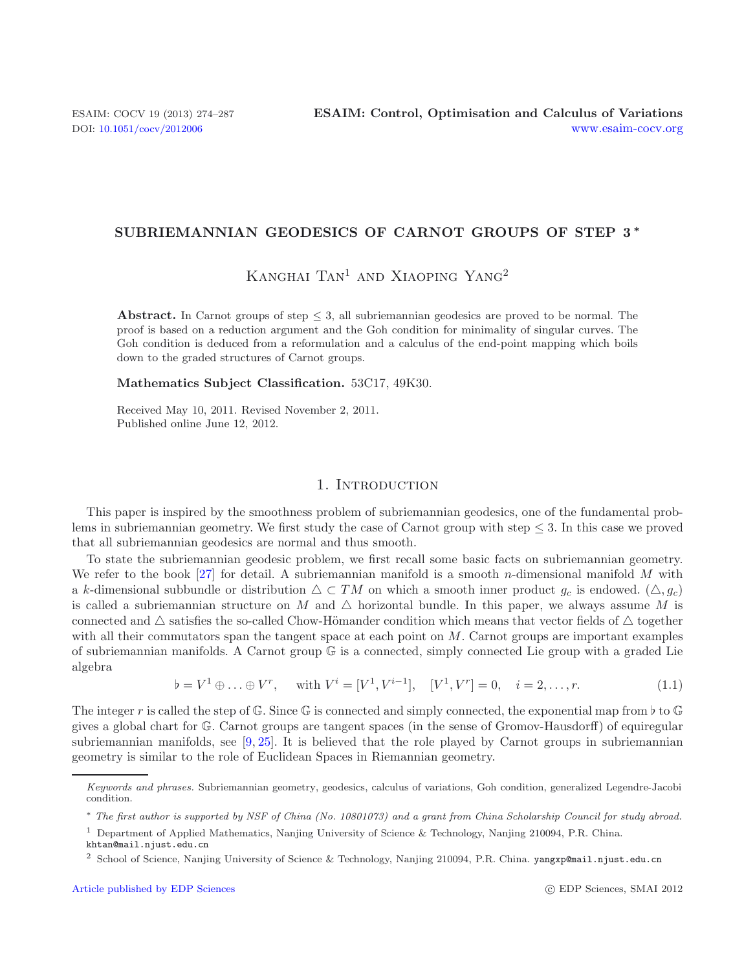## **SUBRIEMANNIAN GEODESICS OF CARNOT GROUPS OF STEP 3** *∗*

# Kanghai Tan<sup>1</sup> and Xiaoping Yang<sup>2</sup>

**Abstract.** In Carnot groups of step  $\leq$  3, all subriemannian geodesics are proved to be normal. The proof is based on a reduction argument and the Goh condition for minimality of singular curves. The Goh condition is deduced from a reformulation and a calculus of the end-point mapping which boils down to the graded structures of Carnot groups.

**Mathematics Subject Classification.** 53C17, 49K30.

Received May 10, 2011. Revised November 2, 2011. Published online June 12, 2012.

## 1. INTRODUCTION

<span id="page-0-0"></span>This paper is inspired by the smoothness problem of subriemannian geodesics, one of the fundamental problems in subriemannian geometry. We first study the case of Carnot group with step  $\leq 3$ . In this case we proved that all subriemannian geodesics are normal and thus smooth.

To state the subriemannian geodesic problem, we first recall some basic facts on subriemannian geometry. We refer to the book [\[27](#page-13-0)] for detail. A subriemannian manifold is a smooth n-dimensional manifold M with a k-dimensional subbundle or distribution  $\Delta \subset TM$  on which a smooth inner product  $g_c$  is endowed.  $(\Delta, g_c)$ is called a subriemannian structure on M and  $\triangle$  horizontal bundle. In this paper, we always assume M is connected and  $\Delta$  satisfies the so-called Chow-Hömander condition which means that vector fields of  $\Delta$  together with all their commutators span the tangent space at each point on  $M$ . Carnot groups are important examples of subriemannian manifolds. A Carnot group  $\mathbb{G}$  is a connected, simply connected Lie group with a graded Lie algebra

$$
\flat = V^1 \oplus \ldots \oplus V^r, \quad \text{with } V^i = [V^1, V^{i-1}], \quad [V^1, V^r] = 0, \quad i = 2, \ldots, r. \tag{1.1}
$$

The integer r is called the step of G. Since G is connected and simply connected, the exponential map from  $\nmid$  to G  $\subseteq$ gives a global chart for G. Carnot groups are tangent spaces (in the sense of Gromov-Hausdorff) of equiregular subriemannian manifolds, see [\[9,](#page-13-1) [25\]](#page-13-2). It is believed that the role played by Carnot groups in subriemannian geometry is similar to the role of Euclidean Spaces in Riemannian geometry.

Keywords and phrases. Subriemannian geometry, geodesics, calculus of variations, Goh condition, generalized Legendre-Jacobi condition.

<sup>∗</sup> The first author is supported by NSF of China (No. 10801073) and a grant from China Scholarship Council for study abroad.

<sup>1</sup> Department of Applied Mathematics, Nanjing University of Science & Technology, Nanjing 210094, P.R. China.

khtan@mail.njust.edu.cn

<sup>2</sup> School of Science, Nanjing University of Science & Technology, Nanjing 210094, P.R. China. yangxp@mail.njust.edu.cn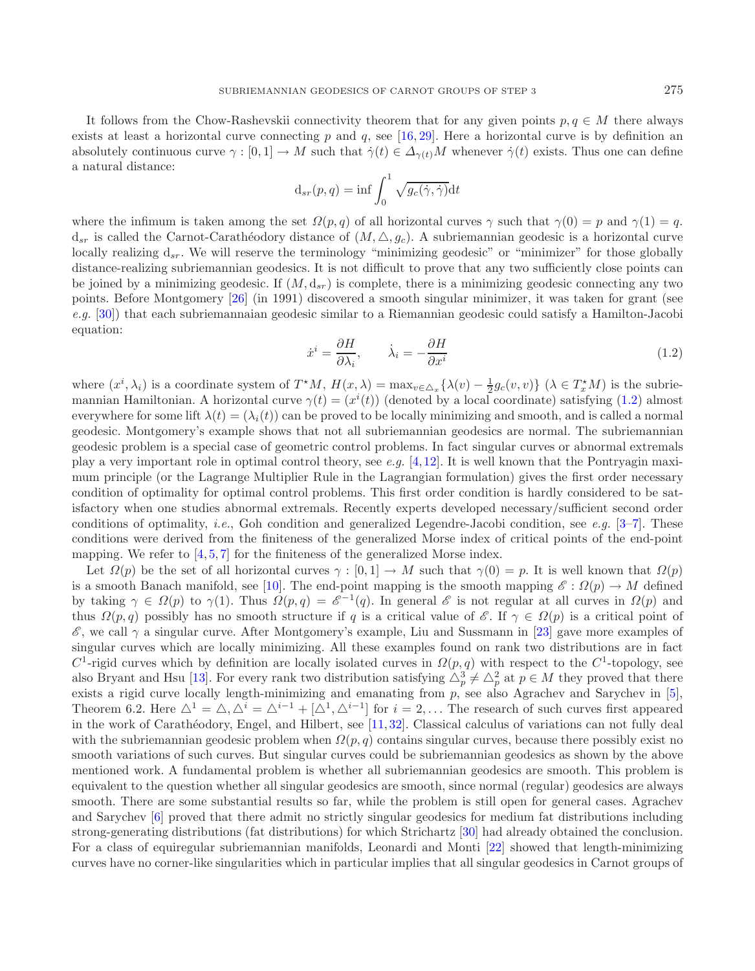<span id="page-1-0"></span>It follows from the Chow-Rashevskii connectivity theorem that for any given points  $p, q \in M$  there always exists at least a horizontal curve connecting p and q, see  $[16, 29]$  $[16, 29]$  $[16, 29]$ . Here a horizontal curve is by definition an absolutely continuous curve  $\gamma : [0, 1] \to M$  such that  $\dot{\gamma}(t) \in \Delta_{\gamma(t)}M$  whenever  $\dot{\gamma}(t)$  exists. Thus one can define a natural distance:

$$
d_{sr}(p,q) = \inf \int_0^1 \sqrt{g_c(\dot{\gamma}, \dot{\gamma})} dt
$$

where the infimum is taken among the set  $\Omega(p,q)$  of all horizontal curves  $\gamma$  such that  $\gamma(0) = p$  and  $\gamma(1) = q$ .  $d_{sr}$  is called the Carnot-Carathéodory distance of  $(M, \triangle, g_c)$ . A subriemannian geodesic is a horizontal curve locally realizing  $d_{sr}$ . We will reserve the terminology "minimizing geodesic" or "minimizer" for those globally distance-realizing subriemannian geodesics. It is not difficult to prove that any two sufficiently close points can be joined by a minimizing geodesic. If  $(M, d_{sr})$  is complete, there is a minimizing geodesic connecting any two points. Before Montgomery [\[26\]](#page-13-5) (in 1991) discovered a smooth singular minimizer, it was taken for grant (see *e.g.* [\[30](#page-13-6)]) that each subriemannaian geodesic similar to a Riemannian geodesic could satisfy a Hamilton-Jacobi equation:

$$
\dot{x}^i = \frac{\partial H}{\partial \lambda_i}, \qquad \dot{\lambda}_i = -\frac{\partial H}{\partial x^i} \tag{1.2}
$$

where  $(x^i, \lambda_i)$  is a coordinate system of  $T^*M$ ,  $H(x, \lambda) = \max_{v \in \Delta_x} {\lambda(v) - \frac{1}{2}g_c(v, v)} (\lambda \in T_x^*M)$  is the subrig-<br>mannian Hamiltonian. A horizontal curve  $\alpha(t) - (x^i(t))$  (denoted by a local coordinate) satisfying (1.2) almo mannian Hamiltonian. A horizontal curve  $\gamma(t) = (x^i(t))$  (denoted by a local coordinate) satisfying [\(1.2\)](#page-1-0) almost<br>everywhere for some lift  $\lambda(t) = (\lambda_1(t))$  can be proved to be locally minimizing and smooth, and is called a norma everywhere for some lift  $\lambda(t)=(\lambda_i(t))$  can be proved to be locally minimizing and smooth, and is called a normal geodesic. Montgomery's example shows that not all subriemannian geodesics are normal. The subriemannian geodesic problem is a special case of geometric control problems. In fact singular curves or abnormal extremals play a very important role in optimal control theory, see *e.g.* [\[4](#page-12-0)[,12](#page-13-7)]. It is well known that the Pontryagin maximum principle (or the Lagrange Multiplier Rule in the Lagrangian formulation) gives the first order necessary condition of optimality for optimal control problems. This first order condition is hardly considered to be satisfactory when one studies abnormal extremals. Recently experts developed necessary/sufficient second order conditions of optimality, *i.e.*, Goh condition and generalized Legendre-Jacobi condition, see *e.g.* [\[3](#page-12-1)[–7\]](#page-12-2). These conditions were derived from the finiteness of the generalized Morse index of critical points of the end-point mapping. We refer to  $[4, 5, 7]$  $[4, 5, 7]$  $[4, 5, 7]$  $[4, 5, 7]$  $[4, 5, 7]$  for the finiteness of the generalized Morse index.

Let  $\Omega(p)$  be the set of all horizontal curves  $\gamma : [0,1] \to M$  such that  $\gamma(0) = p$ . It is well known that  $\Omega(p)$ is a smooth Banach manifold, see [\[10\]](#page-13-8). The end-point mapping is the smooth mapping  $\mathscr{E}: \Omega(p) \to M$  defined by taking  $\gamma \in \Omega(p)$  to  $\gamma(1)$ . Thus  $\Omega(p,q) = \mathscr{E}^{-1}(q)$ . In general  $\mathscr{E}$  is not regular at all curves in  $\Omega(p)$  and thus  $\Omega(p,q)$  possibly has no smooth structure if q is a critical value of  $\mathscr{E}$ . If  $\gamma \in \Omega(p)$  is a critical point of  $\mathscr{E}$ , we call  $\gamma$  a singular curve. After Montgomery's example, Liu and Sussmann in [\[23](#page-13-9)] gave more examples of singular curves which are locally minimizing. All these examples found on rank two distributions are in fact  $C^1$ -rigid curves which by definition are locally isolated curves in  $\Omega(p,q)$  with respect to the  $C^1$ -topology, see also Bryant and Hsu [\[13\]](#page-13-10). For every rank two distribution satisfying  $\Delta_p^3 \neq \Delta_p^2$  at  $p \in M$  they proved that there exists a rigid curve locally length-minimizing and emanating from n see also Agrachey and Sarychey in [ exists a rigid curve locally length-minimizing and emanating from  $p$ , see also Agrachev and Sarychev in [\[5](#page-12-3)], Theorem 6.2. Here  $\Delta^1 = \Delta, \Delta^i = \Delta^{i-1} + [\Delta^1, \Delta^{i-1}]$  for  $i = 2,...$  The research of such curves first appeared in the work of Carathéodory, Engel, and Hilbert, see  $[11, 32]$  $[11, 32]$  $[11, 32]$ . Classical calculus of variations can not fully deal with the subriemannian geodesic problem when  $\Omega(p,q)$  contains singular curves, because there possibly exist no smooth variations of such curves. But singular curves could be subriemannian geodesics as shown by the above mentioned work. A fundamental problem is whether all subriemannian geodesics are smooth. This problem is equivalent to the question whether all singular geodesics are smooth, since normal (regular) geodesics are always smooth. There are some substantial results so far, while the problem is still open for general cases. Agrachev and Sarychev [\[6\]](#page-12-4) proved that there admit no strictly singular geodesics for medium fat distributions including strong-generating distributions (fat distributions) for which Strichartz [\[30\]](#page-13-6) had already obtained the conclusion. For a class of equiregular subriemannian manifolds, Leonardi and Monti [\[22\]](#page-13-13) showed that length-minimizing curves have no corner-like singularities which in particular implies that all singular geodesics in Carnot groups of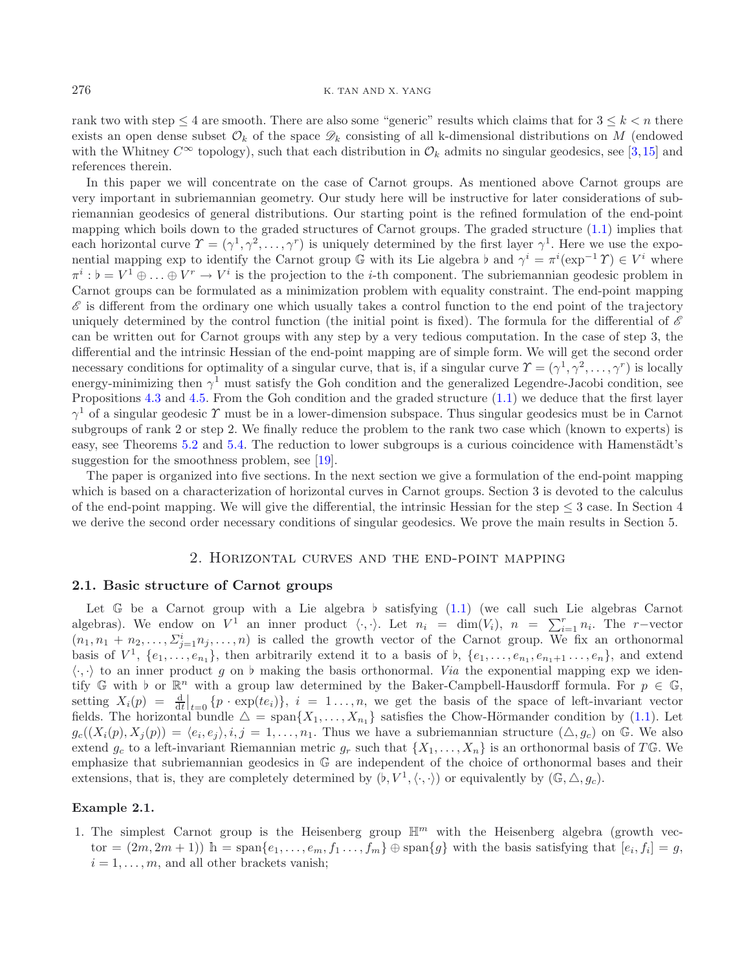rank two with step  $\leq 4$  are smooth. There are also some "generic" results which claims that for  $3 \leq k < n$  there exists an open dense subset  $\mathcal{O}_k$  of the space  $\mathcal{D}_k$  consisting of all k-dimensional distributions on M (endowed with the Whitney  $C^{\infty}$  topology), such that each distribution in  $\mathcal{O}_k$  admits no singular geodesics, see [\[3,](#page-12-1)[15\]](#page-13-14) and references therein.

In this paper we will concentrate on the case of Carnot groups. As mentioned above Carnot groups are very important in subriemannian geometry. Our study here will be instructive for later considerations of subriemannian geodesics of general distributions. Our starting point is the refined formulation of the end-point mapping which boils down to the graded structures of Carnot groups. The graded structure [\(1.1\)](#page-0-0) implies that each horizontal curve  $\Upsilon = (\gamma^1, \gamma^2, \dots, \gamma^r)$  is uniquely determined by the first layer  $\gamma^1$ . Here we use the exponential mapping exp to identify the Carnot group  $\mathbb{G}$  with its Lie algebra  $\flat$  and  $\gamma^i = \pi^i(\exp^{-1}\Upsilon) \in V^i$  where  $\pi^i \cdot \flat = V^1 \oplus \mathbb{G}$   $\mathbb{F}$  and  $V^r \to V^i$  is the projection to the *i*-th component. The subrigg  $\pi^i : \mathfrak{b} = V^1 \oplus \ldots \oplus V^r \to V^i$  is the projection to the *i*-th component. The subriemannian geodesic problem in<br>Carpot groups can be formulated as a minimization problem with equality constraint. The end-point mappin Carnot groups can be formulated as a minimization problem with equality constraint. The end-point mapping  $\mathscr E$  is different from the ordinary one which usually takes a control function to the end point of the trajectory uniquely determined by the control function (the initial point is fixed). The formula for the differential of *E* can be written out for Carnot groups with any step by a very tedious computation. In the case of step 3, the differential and the intrinsic Hessian of the end-point mapping are of simple form. We will get the second order necessary conditions for optimality of a singular curve, that is, if a singular curve  $\Upsilon = (\gamma^1, \gamma^2, \dots, \gamma^r)$  is locally energy-minimizing then  $\gamma^1$  must satisfy the Goh condition and the generalized Legendre-Jacobi condition, see Propositions [4.3](#page-8-0) and [4.5.](#page-10-0) From the Goh condition and the graded structure [\(1.1\)](#page-0-0) we deduce that the first layer  $\gamma^1$  of a singular geodesic  $\gamma$  must be in a lower-dimension subspace. Thus singular geodesics must be in Carnot subgroups of rank 2 or step 2. We finally reduce the problem to the rank two case which (known to experts) is easy, see Theorems [5.2](#page-11-0) and [5.4.](#page-12-5) The reduction to lower subgroups is a curious coincidence with Hamenstädt's suggestion for the smoothness problem, see [\[19\]](#page-13-15).

The paper is organized into five sections. In the next section we give a formulation of the end-point mapping which is based on a characterization of horizontal curves in Carnot groups. Section 3 is devoted to the calculus of the end-point mapping. We will give the differential, the intrinsic Hessian for the step  $\leq$  3 case. In Section 4 we derive the second order necessary conditions of singular geodesics. We prove the main results in Section 5.

#### 2. Horizontal curves and the end-point mapping

#### **2.1. Basic structure of Carnot groups**

Let G be a Carnot group with a Lie algebra  $\flat$  satisfying [\(1.1\)](#page-0-0) (we call such Lie algebras Carnot<br>rebras). We endow on  $V^1$  an inner product  $\langle \ldots \rangle$  Let  $n_i = \dim(V_i)$   $n_i = \sum_{i=1}^r n_i$ . The r-vector algebras). We endow on  $V^1$  an inner product  $\langle \cdot, \cdot \rangle$ . Let  $n_i = \dim(V_i)$ ,  $n = \sum_{i=1}^r n_i$ . The r-vector  $(n_1, n_1 + n_2, \ldots, \Sigma_{j=1}^i n_j, \ldots, n)$  is called the growth vector of the Carnot group. We fix an orthonormal<br>basis of  $V^1$   $\int e_i$ ,  $e_i$ , then arbitrarily extend it to a basis of b  $\int e_i$ ,  $e_i$ ,  $e_i$ ,  $e_i$ , and extend basis of  $V^1$ ,  $\{e_1, \ldots, e_{n_1}\}$ , then arbitrarily extend it to a basis of  $\flat$ ,  $\{e_1, \ldots, e_{n_1}, e_{n_1+1}, \ldots, e_n\}$ , and extend  $\langle \cdot, \cdot \rangle$  to an inner product g on h making the basis orthonormal. Via the exponential m  $\langle \cdot, \cdot \rangle$  to an inner product g on b making the basis orthonormal. *Via* the exponential mapping exp we iden-<br>tify  $\mathbb{G}$  with b or  $\mathbb{R}^n$  with a group law determined by the Baker-Campbell-Hausdorff formula. For tify G with  $\flat$  or  $\mathbb{R}^n$  with a group law determined by the Baker-Campbell-Hausdorff formula. For  $p \in \mathbb{G}$ ,<br>setting  $X(p) = \frac{d}{p} \left| \begin{array}{cc} f_p, \text{exp}(te_i) \\ f_i = 1 \end{array} \right|$  is we get the basis of the space of left-invari setting  $X_i(p) = \frac{d}{dt}\Big|_{t=0} \{p \cdot \exp(te_i)\}, i = 1...n$ , we get the basis of the space of left-invariant vector fields. The horizontal bundle  $\Delta = \text{span}\{X_1,\ldots,X_{n_1}\}$  satisfies the Chow-Hörmander condition by [\(1.1\)](#page-0-0). Let  $a((X_1(n), X_2(n)) - \langle e, e \rangle \mid i = 1, \ldots, T$  Thus we have a subriggenerism structure  $(\triangle a)$  on  $\mathbb{C}$ . We also  $g_c((X_i(p), X_j(p)) = \langle e_i, e_j \rangle, i, j = 1, \ldots, n_1$ . Thus we have a subrigmannian structure  $(\triangle, g_c)$  on G. We also<br>extend a to a left-invariant Biemannian metric a such that  $\{X, \ldots, X\}$  is an orthonormal basis of  $TC$ . We extend  $g_c$  to a left-invariant Riemannian metric  $g_r$  such that  $\{X_1,\ldots,X_n\}$  is an orthonormal basis of TG. We emphasize that subriemannian geodesics in G are independent of the choice of orthonormal bases and their extensions, that is, they are completely determined by  $(\nu, V^1, \langle \cdot, \cdot \rangle)$  or equivalently by  $(\mathbb{G}, \triangle, g_c)$ .

#### **Example 2.1.**

1. The simplest Carnot group is the Heisenberg group  $\mathbb{H}^m$  with the Heisenberg algebra (growth vector =  $(2m, 2m + 1)$  h = span $\{e_1, \ldots, e_m, f_1, \ldots, f_m\}$   $\oplus$  span $\{g\}$  with the basis satisfying that  $[e_i, f_i] = g$ ,  $i = 1, \ldots, m$ , and all other brackets vanish;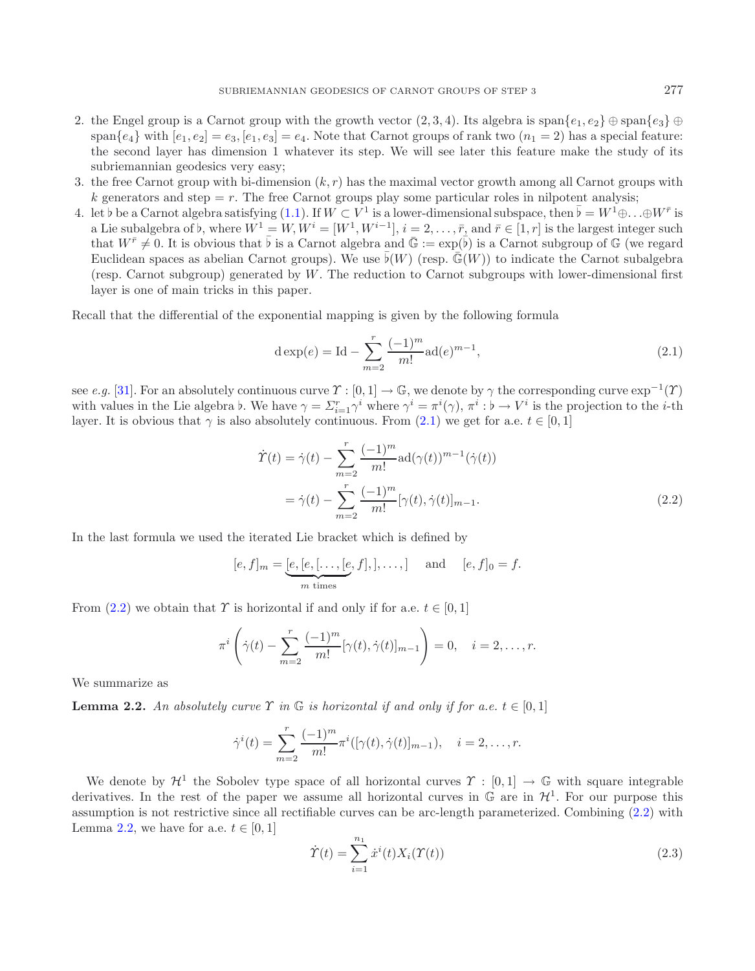- 2. the Engel group is a Carnot group with the growth vector  $(2, 3, 4)$ . Its algebra is span $\{e_1, e_2\} \oplus \text{span}\{e_3\} \oplus$ span $\{e_4\}$  with  $[e_1, e_2] = e_3$ ,  $[e_1, e_3] = e_4$ . Note that Carnot groups of rank two  $(n_1 = 2)$  has a special feature: the second layer has dimension 1 whatever its step. We will see later this feature make the study of its subriemannian geodesics very easy;
- 3. the free Carnot group with bi-dimension  $(k, r)$  has the maximal vector growth among all Carnot groups with k generators and step  $=r$ . The free Carnot groups play some particular roles in nilpotent analysis;
- 4. let b be a Carnot algebra satisfying [\(1.1\)](#page-0-0). If  $W \nsubseteq V^1$  is a lower-dimensional subspace, then  $\overline{b} = W^1 \oplus \ldots \oplus W^{\overline{r}}$  is a Lie subalgebra of b, where  $W^1 W W^i [W^1 W^{i-1}]$   $i = 2$   $\overline{r}$  and  $\overline{r} \in [1, r]$  is a Lie subalgebra of b, where  $W^1 = W$ ,  $W^i = [W^1, W^{i-1}]$ ,  $i = 2, \ldots, \bar{r}$ , and  $\bar{r} \in [1, r]$  is the largest integer such that  $W^{\bar{r}} \neq 0$ . It is obvious that  $\bar{b}$  is a Carnot algebra and  $\bar{G} := \exp(\bar{b})$  is a Carnot that  $W^{\bar{r}} \neq 0$ . It is obvious that  $\bar{b}$  is a Carnot algebra and  $\bar{\mathbb{G}} := \exp(\bar{b})$  is a Carnot subgroup of  $\mathbb{G}$  (we regard Fuckle of  $\bar{c}$ ) and  $\bar{c}$  (we regard  $\bar{c}$ ) and  $\bar{c}$  (we regard  $\bar{c}$ )  $\bar$ Euclidean spaces as abelian Carnot groups). We use  $\bar{b}(W)$  (resp.  $\bar{\mathbb{G}}(W)$ ) to indicate the Carnot subalgebra<br>(resp. Garnot subgroup) generated by W. The reduction to Carnot subgroups with lower-dimensional first (resp. Carnot subgroup) generated by W. The reduction to Carnot subgroups with lower-dimensional first layer is one of main tricks in this paper.

Recall that the differential of the exponential mapping is given by the following formula

<span id="page-3-1"></span><span id="page-3-0"></span>
$$
d \exp(e) = Id - \sum_{m=2}^{r} \frac{(-1)^m}{m!} ad(e)^{m-1},
$$
\n(2.1)

see *e.g.* [\[31\]](#page-13-16). For an absolutely continuous curve  $\Upsilon : [0,1] \to \mathbb{G}$ , we denote by  $\gamma$  the corresponding curve  $\exp^{-1}(\Upsilon)$ with values in the Lie algebra b. We have  $\gamma = \sum_{i=1}^r \gamma^i$  where  $\gamma^i = \pi^i(\gamma)$ ,  $\pi^i : \flat \to V^i$  is the projection to the *i*-th layer. It is obvious that  $\gamma$  is also absolutely continuous. From (2.1) we get for a e  $t \$ layer. It is obvious that  $\gamma$  is also absolutely continuous. From [\(2.1\)](#page-3-0) we get for a.e.  $t \in [0,1]$ 

$$
\dot{\Upsilon}(t) = \dot{\gamma}(t) - \sum_{m=2}^{r} \frac{(-1)^m}{m!} \text{ad}(\gamma(t))^{m-1} (\dot{\gamma}(t))
$$

$$
= \dot{\gamma}(t) - \sum_{m=2}^{r} \frac{(-1)^m}{m!} [\gamma(t), \dot{\gamma}(t)]_{m-1}.
$$
(2.2)

<span id="page-3-2"></span>In the last formula we used the iterated Lie bracket which is defined by

$$
[e, f]_m = [e, [e, [\dots, [e, f],], \dots, ]
$$
 and  $[e, f]_0 = f$ .  
\n $\frac{m \text{ times}}{m \text{ times}}$ 

From [\(2.2\)](#page-3-1) we obtain that  $\Upsilon$  is horizontal if and only if for a.e.  $t \in [0, 1]$ 

<span id="page-3-3"></span>
$$
\pi^{i}\left(\dot{\gamma}(t) - \sum_{m=2}^{r} \frac{(-1)^{m}}{m!}[\gamma(t), \dot{\gamma}(t)]_{m-1}\right) = 0, \quad i = 2, \dots, r.
$$

We summarize as

**Lemma 2.2.** An absolutely curve  $\Upsilon$  in  $\mathbb{G}$  is horizontal if and only if for a.e.  $t \in [0,1]$ 

$$
\dot{\gamma}^i(t) = \sum_{m=2}^r \frac{(-1)^m}{m!} \pi^i([\gamma(t), \dot{\gamma}(t)]_{m-1}), \quad i = 2, \dots, r.
$$

We denote by  $\mathcal{H}^1$  the Sobolev type space of all horizontal curves  $\Upsilon : [0,1] \to \mathbb{G}$  with square integrable derivatives. In the rest of the paper we assume all horizontal curves in  $\mathbb{G}$  are in  $\mathcal{H}^1$ . For our purpose this assumption is not restrictive since all rectifiable curves can be arc-length parameterized. Combining [\(2.2\)](#page-3-1) with Lemma [2.2,](#page-3-2) we have for a.e.  $t \in [0, 1]$ 

$$
\dot{T}(t) = \sum_{i=1}^{n_1} \dot{x}^i(t) X_i(\Upsilon(t))
$$
\n(2.3)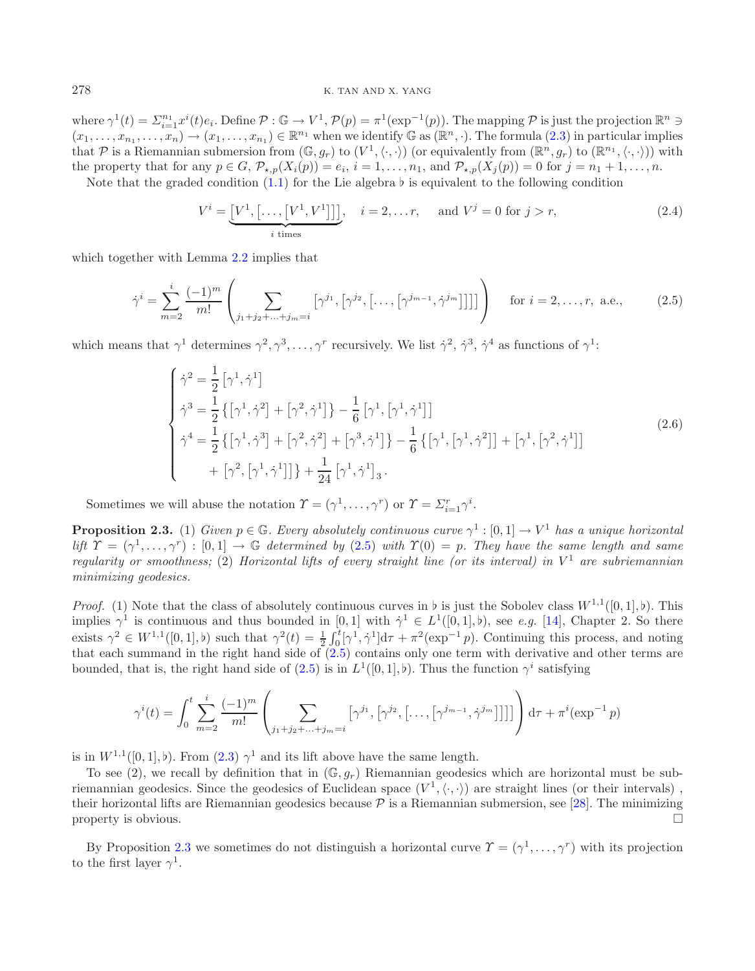#### 278 K. TAN AND X. YANG

where  $\gamma^1(t) = \sum_{i=1}^{n_1} x^i(t) e_i$ . Define  $\mathcal{P} : \mathbb{G} \to V^1$ ,  $\mathcal{P}(p) = \pi^1(\exp^{-1}(p))$ . The mapping  $\mathcal{P}$  is just the projection  $\mathbb{R}^n \ni$  $(x_1,\ldots,x_{n_1},\ldots,x_n) \to (x_1,\ldots,x_{n_1}) \in \mathbb{R}^{n_1}$  when we identify G as  $(\mathbb{R}^n,\cdot)$ . The formula  $(2.3)$  in particular implies<br>that P is a Biemannian submersion from  $(\mathbb{C},a)$  to  $(V^1,\ldots)$  or equivalently from  $(\mathbb{R}^n$ that P is a Riemannian submersion from  $(\mathbb{G}, g_r)$  to  $(V^1, \langle \cdot, \cdot \rangle)$  (or equivalently from  $(\mathbb{R}^n, g_r)$  to  $(\mathbb{R}^{n_1}, \langle \cdot, \cdot \rangle)$ ) with the property that for any  $n \in G$  P  $(X(n)) = e$ ,  $i = 1$ ,  $n_1$ , and P  $(X(n)) = 0$  for  $i$ the property that for any  $p \in G$ ,  $\mathcal{P}_{\star,p}(X_i(p)) = e_i$ ,  $i = 1,\ldots,n_1$ , and  $\mathcal{P}_{\star,p}(X_j(p)) = 0$  for  $j = n_1 + 1,\ldots,n$ .

Note that the graded condition  $(1.1)$  for the Lie algebra  $\nu$  is equivalent to the following condition

<span id="page-4-2"></span><span id="page-4-1"></span><span id="page-4-0"></span>
$$
V^i = \underbrace{[V^1, [\dots, [V^1, V^1]]]}_{i \text{ times}}, \quad i = 2, \dots r, \quad \text{and } V^j = 0 \text{ for } j > r,
$$
\n
$$
(2.4)
$$

which together with Lemma [2.2](#page-3-2) implies that

$$
\dot{\gamma}^i = \sum_{m=2}^i \frac{(-1)^m}{m!} \left( \sum_{j_1+j_2+\ldots+j_m=i} \left[ \gamma^{j_1}, \left[ \gamma^{j_2}, \left[ \ldots, \left[ \gamma^{j_{m-1}}, \dot{\gamma}^{j_m} \right] \right] \right] \right) \right) \quad \text{for } i = 2, \ldots, r, \text{ a.e.,}
$$
 (2.5)

which means that  $\gamma^1$  determines  $\gamma^2, \gamma^3, \ldots, \gamma^r$  recursively. We list  $\dot{\gamma}^2, \dot{\gamma}^3, \dot{\gamma}^4$  as functions of  $\gamma^1$ :

$$
\begin{cases}\n\dot{\gamma}^{2} = \frac{1}{2} [\gamma^{1}, \dot{\gamma}^{1}] \\
\dot{\gamma}^{3} = \frac{1}{2} \{ [\gamma^{1}, \dot{\gamma}^{2}] + [\gamma^{2}, \dot{\gamma}^{1}] \} - \frac{1}{6} [\gamma^{1}, [\gamma^{1}, \dot{\gamma}^{1}]] \\
\dot{\gamma}^{4} = \frac{1}{2} \{ [\gamma^{1}, \dot{\gamma}^{3}] + [\gamma^{2}, \dot{\gamma}^{2}] + [\gamma^{3}, \dot{\gamma}^{1}] \} - \frac{1}{6} \{ [\gamma^{1}, [\gamma^{1}, \dot{\gamma}^{2}]] + [\gamma^{1}, [\gamma^{2}, \dot{\gamma}^{1}]] \\
+ [\gamma^{2}, [\gamma^{1}, \dot{\gamma}^{1}]] \} + \frac{1}{24} [\gamma^{1}, \dot{\gamma}^{1}]_{3}.\n\end{cases}
$$
\n(2.6)

Sometimes we will abuse the notation  $\Upsilon = (\gamma^1, \dots, \gamma^r)$  or  $\Upsilon = \sum_{i=1}^r \gamma^i$ .

**Proposition 2.3.** (1) *Given*  $p \in \mathbb{G}$ *. Every absolutely continuous curve*  $\gamma^1 : [0,1] \rightarrow V^1$  *has a unique horizontal lift*  $\Upsilon = (\gamma^1, \ldots, \gamma^r) : [0, 1] \rightarrow \mathbb{G}$  *determined by* [\(2.5\)](#page-4-0) *with*  $\Upsilon(0) = p$ . They have the same length and same *regularity or smoothness;* (2) *Horizontal lifts of every straight line (or its interval) in*  $V^1$  *are subriemannian minimizing geodesics.*

*Proof.* (1) Note that the class of absolutely continuous curves in  $\flat$  is continuous and thus bounded in [0, 1] with  $\dot{\gamma}^1 \in L$ b is just the Sobolev class  $W^{1,1}([0,1], \mathfrak{b})$ . This implies  $\gamma^1$  is continuous and thus bounded in [0, 1] with  $\dot{\gamma}^1 \in L^1([0,1], \dot{b})$ , see *e.g.* [\[14\]](#page-13-17), Chapter 2. So there exists  $\gamma^2 \in W^{1,1}([0,1], \flat)$  such that  $\gamma^2(t) = \frac{1}{2} \int_0^t [\gamma^1, \dot{\gamma}^1] d\tau + \pi^2(\exp^{-1} p)$ . Continuing this process, and noting that each summand in the right hand side of (2.5) contains only one term with derivative and that each summand in the right hand side of  $(2.5)$  contains only one term with derivative and other terms are bounded, that is, the right hand side of [\(2.5\)](#page-4-0) is in  $L^1([0,1], \flat)$ . Thus the function  $\gamma^i$  satisfying

$$
\gamma^{i}(t) = \int_{0}^{t} \sum_{m=2}^{i} \frac{(-1)^{m}}{m!} \left( \sum_{j_{1}+j_{2}+\ldots+j_{m}=i} \left[ \gamma^{j_{1}}, \left[ \gamma^{j_{2}}, \left[ \ldots, \left[ \gamma^{j_{m-1}}, \dot{\gamma}^{j_{m}} \right] \right] \right] \right) d\tau + \pi^{i}(\exp^{-1} p)
$$

is in  $W^{1,1}([0,1],\flat)$ . From  $(2.3)$   $\gamma^1$  and its lift above have the same length.<br>To see (2), we recall by definition that in  $(\mathbb{C}, a)$ . Biomannian goodesic

To see (2), we recall by definition that in  $(\mathbb{G}, g_r)$  Riemannian geodesics which are horizontal must be subriemannian geodesics. Since the geodesics of Euclidean space  $(V^1, \langle \cdot, \cdot \rangle)$  are straight lines (or their intervals), their horizontal lifts are Biemannian geodesics because  $\mathcal{D}$  is a Biemannian submersion, see [28]. their horizontal lifts are Riemannian geodesics because  $P$  is a Riemannian submersion, see [\[28](#page-13-18)]. The minimizing property is obvious.  $\Box$ 

By Proposition [2.3](#page-4-1) we sometimes do not distinguish a horizontal curve  $\Upsilon = (\gamma^1, \ldots, \gamma^r)$  with its projection to the first layer  $\gamma^1$ .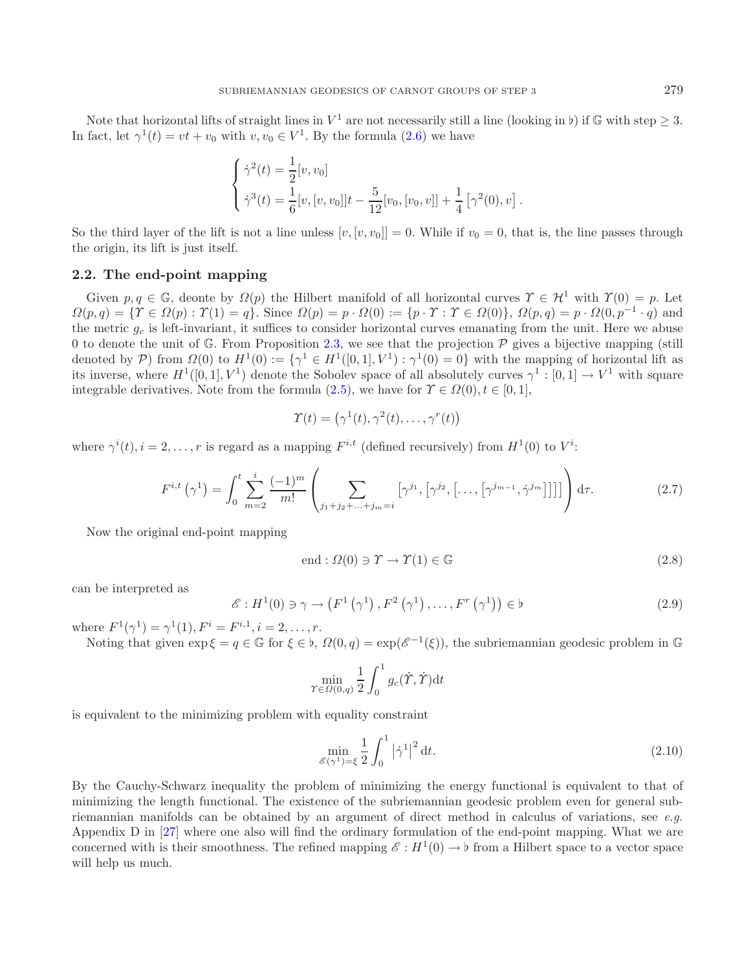Note that horizontal lifts of straight lines in  $V^1$  are not necessarily still a line (looking in b) if G with step  $\geq 3$ .<br>fact, let  $\gamma^1(t) = vt + iv$  with  $v, v_0 \in V^1$ . By the formula (2.6) we have In fact, let  $\gamma^1(t) = vt + v_0$  with  $v, v_0 \in V^1$ . By the formula [\(2.6\)](#page-4-2) we have

$$
\begin{cases} \dot{\gamma}^2(t) = \frac{1}{2}[v, v_0] \\ \dot{\gamma}^3(t) = \frac{1}{6}[v, [v, v_0]]t - \frac{5}{12}[v_0, [v_0, v]] + \frac{1}{4}[\gamma^2(0), v] \end{cases}
$$

So the third layer of the lift is not a line unless  $[v, [v, v_0]] = 0$ . While if  $v_0 = 0$ , that is, the line passes through the origin, its lift is just itself.

## **2.2. The end-point mapping**

Given  $p, q \in \mathbb{G}$ , deonte by  $\Omega(p)$  the Hilbert manifold of all horizontal curves  $\Upsilon \in \mathcal{H}^1$  with  $\Upsilon(0) = p$ . Let  $\Omega(p,q) = \{ \Upsilon \in \Omega(p) : \Upsilon(1) = q \}.$  Since  $\Omega(p) = p \cdot \Omega(0) := \{ p \cdot \Upsilon : \Upsilon \in \Omega(0) \},$   $\Omega(p,q) = p \cdot \Omega(0,p^{-1} \cdot q)$  and the metric  $g_c$  is left-invariant, it suffices to consider horizontal curves emanating from the unit. Here we abuse 0 to denote the unit of  $\mathbb{G}$ . From Proposition [2.3,](#page-4-1) we see that the projection  $\mathcal{P}$  gives a bijective mapping (still denoted by P) from  $\Omega(0)$  to  $H^1(0) := {\gamma^1 \in H^1([0,1], V^1) : \gamma^1(0) = 0}$  with the mapping of horizontal lift as its inverse, where  $H^1([0,1], V^1)$  denote the Sobolev space of all absolutely curves  $\gamma^1 : [0,1] \to V^1$  with square integrable derivatives. Note from the formula [\(2.5\)](#page-4-0), we have for  $\Upsilon \in \Omega(0), t \in [0, 1],$ 

<span id="page-5-1"></span>
$$
\Upsilon(t) = (\gamma^1(t), \gamma^2(t), \dots, \gamma^r(t))
$$

where  $\gamma^{i}(t), i = 2, ..., r$  is regard as a mapping  $F^{i,t}$  (defined recursively) from  $H^{1}(0)$  to  $V^{i}$ :

$$
F^{i,t}\left(\gamma^{1}\right) = \int_{0}^{t} \sum_{m=2}^{i} \frac{(-1)^{m}}{m!} \left( \sum_{j_{1}+j_{2}+\ldots+j_{m}=i} \left[ \gamma^{j_{1}}, \left[ \gamma^{j_{2}}, \left[ \ldots, \left[ \gamma^{j_{m-1}}, \dot{\gamma}^{j_{m}} \right] \right] \right] \right) d\tau. \tag{2.7}
$$

Now the original end-point mapping

<span id="page-5-0"></span>
$$
end: \Omega(0) \ni \Upsilon \to \Upsilon(1) \in \mathbb{G}
$$
\n
$$
(2.8)
$$

can be interpreted as

$$
\mathscr{E}: H^{1}(0) \ni \gamma \to \left(F^{1}\left(\gamma^{1}\right), F^{2}\left(\gamma^{1}\right), \dots, F^{r}\left(\gamma^{1}\right)\right) \in \flat
$$
\n
$$
(2.9)
$$

where  $F^1(\gamma^1) = \gamma^1(1), F^i = F^{i,1}, i = 2, \ldots, r.$ 

Noting that given  $\exp \xi = q \in \mathbb{G}$  for  $\xi \in \flat$ ,  $\Omega(0, q) = \exp(\mathscr{E}^{-1}(\xi))$ , the subriemannian geodesic problem in  $\mathbb{G}$ 

$$
\min_{\Upsilon \in \Omega(0,q)} \frac{1}{2} \int_0^1 g_c(\dot{\Upsilon}, \dot{\Upsilon}) dt
$$

is equivalent to the minimizing problem with equality constraint

$$
\min_{\mathcal{E}(\gamma^1)=\xi} \frac{1}{2} \int_0^1 |\dot{\gamma}^1|^2 dt. \tag{2.10}
$$

By the Cauchy-Schwarz inequality the problem of minimizing the energy functional is equivalent to that of minimizing the length functional. The existence of the subriemannian geodesic problem even for general subriemannian manifolds can be obtained by an argument of direct method in calculus of variations, see *e.g.* Appendix D in [\[27\]](#page-13-0) where one also will find the ordinary formulation of the end-point mapping. What we are concerned with is their smoothness. The refined mapping  $\mathscr{E}: H^1(0) \to \flat$  from a Hilbert space to a vector space<br>will help us much will help us much.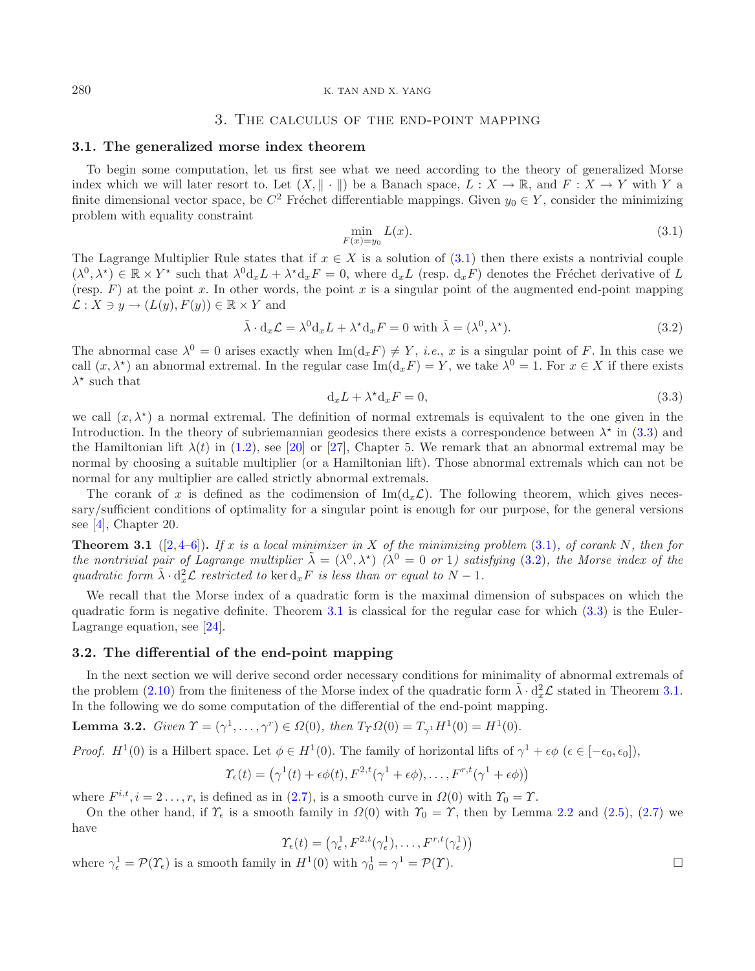#### 280 K. TAN AND X. YANG

# <span id="page-6-2"></span><span id="page-6-0"></span>3. The calculus of the end-point mapping

#### **3.1. The generalized morse index theorem**

<span id="page-6-1"></span>To begin some computation, let us first see what we need according to the theory of generalized Morse index which we will later resort to. Let  $(X, \|\cdot\|)$  be a Banach space,  $L : X \to \mathbb{R}$ , and  $F : X \to Y$  with Y a finite dimensional vector space, be  $C^2$  Fréchet differentiable mappings. Given  $y_0 \in Y$ , consider the minimizing problem with equality constraint

$$
\min_{F(x)=y_0} L(x). \tag{3.1}
$$

The Lagrange Multiplier Rule states that if  $x \in X$  is a solution of [\(3.1\)](#page-6-0) then there exists a nontrivial couple  $(\lambda^0, \lambda^*) \in \mathbb{R} \times Y^*$  such that  $\lambda^0 \mathrm{d}_x L + \lambda^* \mathrm{d}_x F = 0$ , where  $\mathrm{d}_x L$  (resp.  $\mathrm{d}_x F$ ) denotes the Fréchet derivative of L (resp.  $F$ ) at the point x. In other words, the point x is a singular point of the augmented end-point mapping  $\mathcal{L}: X \ni y \to (L(y), F(y)) \in \mathbb{R} \times Y$  and

$$
\tilde{\lambda} \cdot d_x \mathcal{L} = \lambda^0 d_x L + \lambda^* d_x F = 0 \text{ with } \tilde{\lambda} = (\lambda^0, \lambda^*). \tag{3.2}
$$

<span id="page-6-3"></span>The abnormal case  $\lambda^0 = 0$  arises exactly when  $\text{Im}(d_xF) \neq Y$ , *i.e.*, *x* is a singular point of *F*. In this case we call  $(x, \lambda^*)$  an abnormal extremal. In the regular case  $\text{Im}(d, F) = Y$  we take  $\lambda^0 = 1$ . For  $x \in X$  call  $(x, \lambda^*)$  an abnormal extremal. In the regular case Im( $d_x F$ ) = Y, we take  $\lambda^0 = 1$ . For  $x \in X$  if there exists  $\lambda^*$  such that

$$
d_x L + \lambda^* d_x F = 0,
$$
\n(3.3)

we call  $(x, \lambda^*)$  a normal extremal. The definition of normal extremals is equivalent to the one given in the theory of subriggenees geodesics there exists a correspondence between  $\lambda^*$  in (3.3) and Introduction. In the theory of subriemannian geodesics there exists a correspondence between  $\lambda^*$  in [\(3.3\)](#page-6-1) and the Hamiltonian lift  $\lambda(t)$  in [\(1.2\)](#page-1-0), see [\[20](#page-13-19)] or [\[27\]](#page-13-0), Chapter 5. We remark that an abnormal extremal may be normal by choosing a suitable multiplier (or a Hamiltonian lift). Those abnormal extremals which can not be normal for any multiplier are called strictly abnormal extremals.

The corank of x is defined as the codimension of  $\text{Im}(d_x\mathcal{L})$ . The following theorem, which gives necessary/sufficient conditions of optimality for a singular point is enough for our purpose, for the general versions see [\[4\]](#page-12-0), Chapter 20.

**Theorem 3.1**  $([2, 4-6])$  $([2, 4-6])$  $([2, 4-6])$  $([2, 4-6])$  $([2, 4-6])$ . If x is a local minimizer in X of the minimizing problem  $(3.1)$ *, of corank* N*, then for the nontrivial pair of Lagrange multiplier*  $\lambda = (\lambda^0, \lambda^*)$  ( $\lambda^0 = 0$  or 1) satisfying [\(3.2\)](#page-6-2), the Morse index of the *quadratic form*  $\tilde{\lambda} \cdot d_x^2 \mathcal{L}$  *restricted to* ker  $d_x F$  *is less than or equal to*  $N - 1$ .

We recall that the Morse index of a quadratic form is the maximal dimension of subspaces on which the quadratic form is negative definite. Theorem  $3.1$  is classical for the regular case for which  $(3.3)$  is the Euler-Lagrange equation, see [\[24](#page-13-20)].

#### **3.2. The differential of the end-point mapping**

In the next section we will derive second order necessary conditions for minimality of abnormal extremals of the problem [\(2.10\)](#page-5-0) from the finiteness of the Morse index of the quadratic form  $\tilde{\lambda} \cdot d_x^2 \mathcal{L}$  stated in Theorem [3.1.](#page-6-3)<br>In the following we do some computation of the differential of the end-point manning In the following we do some computation of the differential of the end-point mapping.

**Lemma 3.2.** *Given*  $\Upsilon = (\gamma^1, \ldots, \gamma^r) \in \Omega(0)$ *, then*  $T_{\Upsilon} \Omega(0) = T_{\gamma^1} H^1(0) = H^1(0)$ *.* 

*Proof.*  $H^1(0)$  is a Hilbert space. Let  $\phi \in H^1(0)$ . The family of horizontal lifts of  $\gamma^1 + \epsilon \phi$  ( $\epsilon \in [-\epsilon_0, \epsilon_0]$ ),

$$
\Upsilon_{\epsilon}(t) = (\gamma^{1}(t) + \epsilon \phi(t), F^{2,t}(\gamma^{1} + \epsilon \phi), \dots, F^{r,t}(\gamma^{1} + \epsilon \phi))
$$

where  $F^{i,t}$ ,  $i = 2 \ldots, r$ , is defined as in [\(2.7\)](#page-5-1), is a smooth curve in  $\Omega(0)$  with  $\Upsilon_0 = \Upsilon$ .<br>On the other hand, if  $\Upsilon$  is a smooth family in  $\Omega(0)$  with  $\Upsilon_0 = \Upsilon$ , then by Lem

On the other hand, if  $\Upsilon_{\epsilon}$  is a smooth family in  $\Omega(0)$  with  $\Upsilon_{0} = \Upsilon$ , then by Lemma [2.2](#page-3-2) and [\(2.5\)](#page-4-0), [\(2.7\)](#page-5-1) we have

$$
\Upsilon_{\epsilon}(t) = \left(\gamma_{\epsilon}^1, F^{2,t}(\gamma_{\epsilon}^1), \dots, F^{r,t}(\gamma_{\epsilon}^1)\right)
$$

where  $\gamma_{\epsilon}^1 = \mathcal{P}(\Upsilon_{\epsilon})$  is a smooth family in  $H^1(0)$  with  $\gamma_0^1 = \gamma^1 = \mathcal{P}(\Upsilon)$ .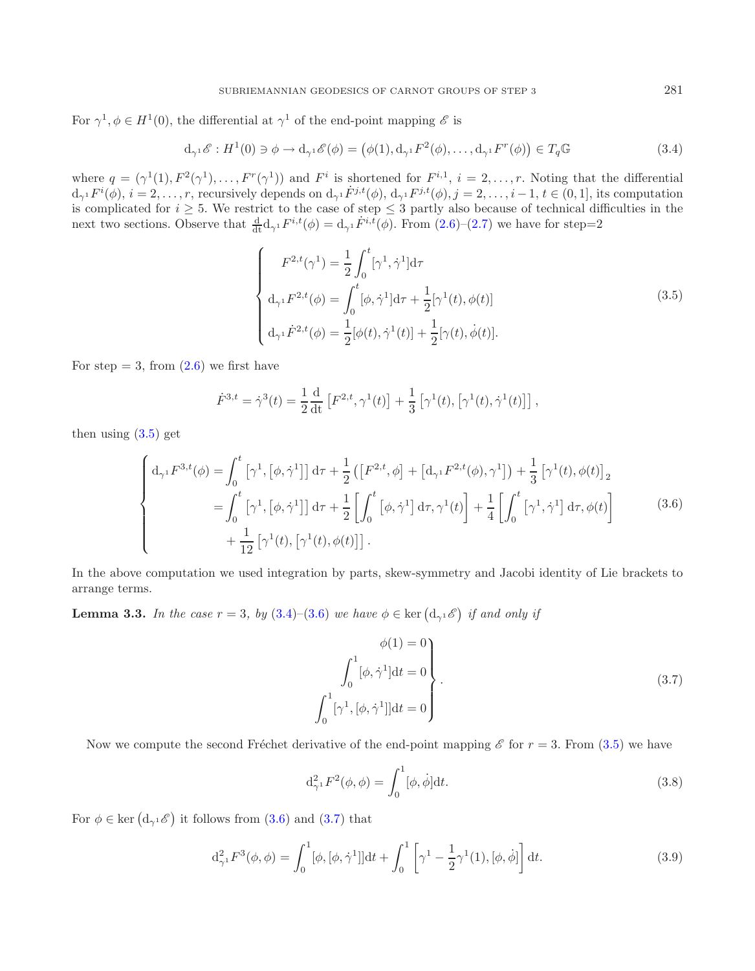For  $\gamma^1, \phi \in H^1(0)$ , the differential at  $\gamma^1$  of the end-point mapping  $\mathscr E$  is

<span id="page-7-1"></span>
$$
d_{\gamma^1} \mathscr{E} : H^1(0) \ni \phi \to d_{\gamma^1} \mathscr{E}(\phi) = (\phi(1), d_{\gamma^1} F^2(\phi), \dots, d_{\gamma^1} F^r(\phi)) \in T_q \mathbb{G}
$$
\n(3.4)

<span id="page-7-2"></span>where  $q = (\gamma^1(1), F^2(\gamma^1), \ldots, F^r(\gamma^1))$  and  $F^i$  is shortened for  $F^{i,1}, i = 2, \ldots, r$ . Noting that the differential  $d_{\gamma^1} F^i$ is con  $d_{\gamma^1}F^i(\phi), i = 2,\ldots,r$ , recursively depends on  $d_{\gamma^1}\dot{F}^{j,t}(\phi), d_{\gamma^1}F^{j,t}(\phi), j = 2,\ldots,i-1, t \in (0,1]$ , its computation is complicated for  $i \geq 5$ . We restrict to the case of step  $\leq 3$  partly also because of technical difficulties in the next two sections. Observe that  $\frac{d}{dt} d_{\gamma^1} F^{i,t}(\phi) = d_{\gamma^1} F^{i,t}(\phi)$ . From  $(2.6)-(2.7)$  $(2.6)-(2.7)$  $(2.6)-(2.7)$  we have

<span id="page-7-0"></span>
$$
\begin{cases}\nF^{2,t}(\gamma^1) = \frac{1}{2} \int_0^t [\gamma^1, \dot{\gamma}^1] d\tau \\
d_{\gamma^1} F^{2,t}(\phi) = \int_0^t [\phi, \dot{\gamma}^1] d\tau + \frac{1}{2} [\gamma^1(t), \phi(t)] \\
d_{\gamma^1} \dot{F}^{2,t}(\phi) = \frac{1}{2} [\phi(t), \dot{\gamma}^1(t)] + \frac{1}{2} [\gamma(t), \dot{\phi}(t)].\n\end{cases} (3.5)
$$

For step  $= 3$ , from  $(2.6)$  we first have

<span id="page-7-3"></span>
$$
\dot{F}^{3,t} = \dot{\gamma}^3(t) = \frac{1}{2} \frac{\mathrm{d}}{\mathrm{dt}} \left[ F^{2,t}, \gamma^1(t) \right] + \frac{1}{3} \left[ \gamma^1(t), \left[ \gamma^1(t), \dot{\gamma}^1(t) \right] \right],
$$

then using  $(3.5)$  get

$$
\begin{cases}\nd_{\gamma^1}F^{3,t}(\phi) = \int_0^t \left[\gamma^1, \left[\phi, \dot{\gamma}^1\right]\right] d\tau + \frac{1}{2} \left(\left[F^{2,t}, \phi\right] + \left[d_{\gamma^1}F^{2,t}(\phi), \gamma^1\right]\right) + \frac{1}{3}\left[\gamma^1(t), \phi(t)\right]_2 \\
= \int_0^t \left[\gamma^1, \left[\phi, \dot{\gamma}^1\right]\right] d\tau + \frac{1}{2} \left[\int_0^t \left[\phi, \dot{\gamma}^1\right] d\tau, \gamma^1(t) + \frac{1}{4} \left[\int_0^t \left[\gamma^1, \dot{\gamma}^1\right] d\tau, \phi(t)\right] + \frac{1}{12}\left[\gamma^1(t), \left[\gamma^1(t), \phi(t)\right]\right].\n\end{cases} \tag{3.6}
$$

In the above computation we used integration by parts, skew-symmetry and Jacobi identity of Lie brackets to arrange terms.

**Lemma 3.3.** *In the case*  $r = 3$ *, by*  $(3.4)$ – $(3.6)$  *we have*  $\phi \in \text{ker}(\mathbf{d}_{\gamma^1} \mathscr{E})$  *if and only if* 

$$
\phi(1) = 0
$$
  

$$
\int_0^1 [\phi, \dot{\gamma}^1] dt = 0
$$
  

$$
\int_0^1 [\gamma^1, [\phi, \dot{\gamma}^1]] dt = 0
$$
 (3.7)

Now we compute the second Fréchet derivative of the end-point mapping  $\mathscr E$  for  $r = 3$ . From [\(3.5\)](#page-7-0) we have

$$
d_{\gamma^1}^2 F^2(\phi, \phi) = \int_0^1 [\phi, \dot{\phi}] dt.
$$
 (3.8)

For  $\phi \in \text{ker} \left( d_{\gamma^1} \mathscr{E} \right)$  it follows from [\(3.6\)](#page-7-2) and [\(3.7\)](#page-7-3) that

$$
d_{\gamma^1}^2 F^3(\phi, \phi) = \int_0^1 [\phi, [\phi, \dot{\gamma}^1]] dt + \int_0^1 \left[ \gamma^1 - \frac{1}{2} \gamma^1(1), [\phi, \dot{\phi}] \right] dt.
$$
 (3.9)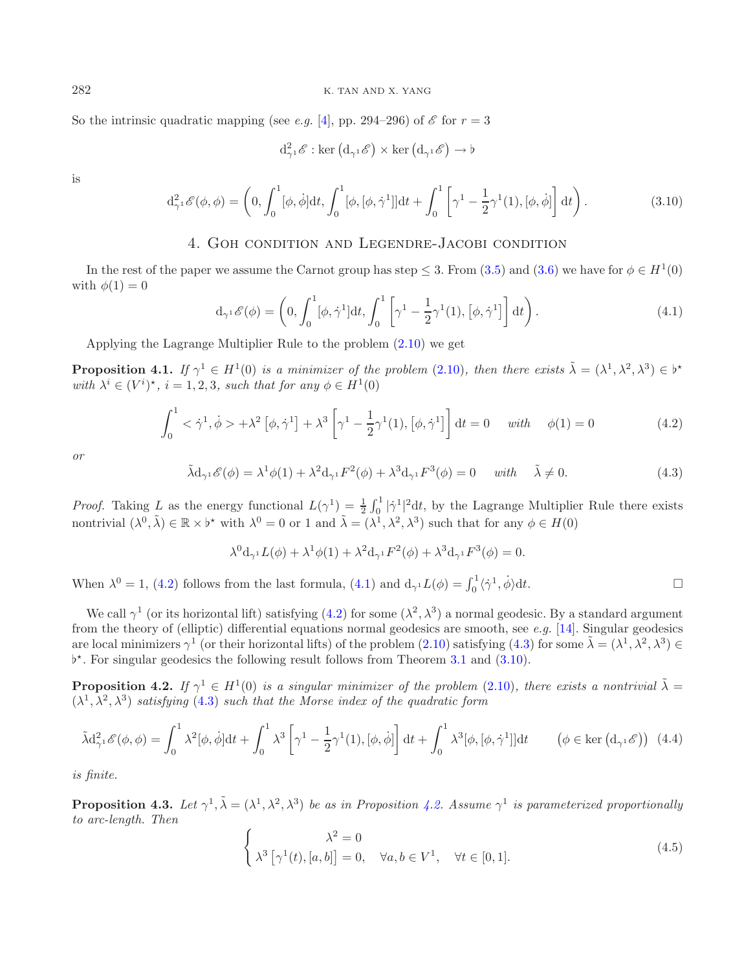So the intrinsic quadratic mapping (see *e.g.* [\[4](#page-12-0)], pp. 294–296) of  $\mathscr E$  for  $r = 3$ 

<span id="page-8-1"></span>
$$
d_{\gamma^1}^2\mathscr{E}: \ker\left(d_{\gamma^1}\mathscr{E}\right) \times \ker\left(d_{\gamma^1}\mathscr{E}\right) \to \flat
$$

is

$$
d_{\gamma^1}^2 \mathcal{E}(\phi, \phi) = \left(0, \int_0^1 [\phi, \dot{\phi}] dt, \int_0^1 [\phi, [\phi, \dot{\gamma}^1]] dt + \int_0^1 \left[\gamma^1 - \frac{1}{2} \gamma^1(1), [\phi, \dot{\phi}] \right] dt \right). \tag{3.10}
$$

# 4. Goh condition and Legendre-Jacobi condition

<span id="page-8-3"></span>In the rest of the paper we assume the Carnot group has step  $\leq 3$ . From [\(3.5\)](#page-7-0) and [\(3.6\)](#page-7-2) we have for  $\phi \in H^1(0)$ with  $\phi(1) = 0$ 

$$
\mathbf{d}_{\gamma^1} \mathscr{E}(\phi) = \left(0, \int_0^1 [\phi, \dot{\gamma}^1] \mathbf{d}t, \int_0^1 \left[\gamma^1 - \frac{1}{2} \gamma^1(1), [\phi, \dot{\gamma}^1] \right] \mathbf{d}t \right). \tag{4.1}
$$

Applying the Lagrange Multiplier Rule to the problem [\(2.10\)](#page-5-0) we get

**Proposition 4.1.** *If*  $\gamma^1 \in H^1(0)$  *is a minimizer of the problem* [\(2.10\)](#page-5-0)*, then there exists*  $\tilde{\lambda} = (\lambda^1, \lambda^2, \lambda^3) \in \mathbb{R}^*$ <br>*with*  $\lambda^i \in (V^i)^*$   $i = 1, 2, 3$  such that for any  $\phi \in H^1(0)$ *with*  $\lambda^i \in (V^i)^*$ ,  $i = 1, 2, 3$ , *such that for any*  $\phi \in H^1(0)$ 

$$
\int_0^1 \langle \dot{\gamma}^1, \dot{\phi} \rangle + \lambda^2 \left[ \phi, \dot{\gamma}^1 \right] + \lambda^3 \left[ \gamma^1 - \frac{1}{2} \gamma^1(1), \left[ \phi, \dot{\gamma}^1 \right] \right] dt = 0 \quad \text{with} \quad \phi(1) = 0 \tag{4.2}
$$

*or*

$$
\tilde{\lambda}d_{\gamma^1}\mathscr{E}(\phi) = \lambda^1\phi(1) + \lambda^2d_{\gamma^1}F^2(\phi) + \lambda^3d_{\gamma^1}F^3(\phi) = 0 \quad \text{with} \quad \tilde{\lambda} \neq 0. \tag{4.3}
$$

*Proof.* Taking L as the energy functional  $L(\gamma^1) = \frac{1}{2} \int_0^1 |\dot{\gamma}^1|^2 dt$ , by the Lagrange Multiplier Rule there exists particularly  $(10, \tilde{\lambda}) \in \mathbb{R} \times \mathbb{R}^*$  with  $\lambda^0 = 0$  or  $1$  and  $\tilde{\lambda} = (11, 12, 33)$  such th nontrivial  $(\lambda^0, \tilde{\lambda}) \in \mathbb{R} \times \flat^*$  with  $\lambda^0 = 0$  or 1 and  $\tilde{\lambda} = (\lambda^1, \lambda^2, \lambda^3)$  such that for any  $\phi \in H(0)$ 

<span id="page-8-6"></span><span id="page-8-5"></span>
$$
\lambda^0 \mathrm{d}_{\gamma^1} L(\phi) + \lambda^1 \phi(1) + \lambda^2 \mathrm{d}_{\gamma^1} F^2(\phi) + \lambda^3 \mathrm{d}_{\gamma^1} F^3(\phi) = 0.
$$

When  $\lambda^0 = 1$ , [\(4.2\)](#page-8-1) follows from the last formula, [\(4.1\)](#page-8-2) and  $d_{\gamma^1}L(\phi) = \int_0^1 \langle \dot{\gamma}^1, \dot{\phi} \rangle$ dt.  $\Box$ 

<span id="page-8-7"></span>We call  $\gamma^1$  (or its horizontal lift) satisfying [\(4.2\)](#page-8-1) for some ( $\lambda^2$ ,  $\lambda^3$ ) a normal geodesic. By a standard argument from the theory of (elliptic) differential equations normal geodesics are smooth, see *e.g.* [\[14](#page-13-17)]. Singular geodesics are local minimizers  $\gamma^1$  (or their horizontal lifts) of the problem [\(2.10\)](#page-5-0) satisfying [\(4.3\)](#page-8-3) for some  $\tilde{\lambda} = (\lambda^1, \lambda^2, \lambda^3) \in$  $\flat^*$ . For singular geodesics the following result follows from Theorem [3.1](#page-6-3) and [\(3.10\)](#page-8-4).

**Proposition 4.2.** *If*  $\gamma^1 \in H^1(0)$  *is a singular minimizer of the problem* [\(2.10\)](#page-5-0)*, there exists a nontrivial*  $\tilde{\lambda} =$  $(\lambda^1, \lambda^2, \lambda^3)$  *satisfying* [\(4.3\)](#page-8-3) *such that the Morse index of the quadratic form* 

$$
\tilde{\lambda} d_{\gamma^1}^2 \mathcal{E}(\phi, \phi) = \int_0^1 \lambda^2 [\phi, \dot{\phi}] dt + \int_0^1 \lambda^3 \left[ \gamma^1 - \frac{1}{2} \gamma^1(1), [\phi, \dot{\phi}] \right] dt + \int_0^1 \lambda^3 [\phi, [\phi, \dot{\gamma}^1]] dt \qquad (\phi \in \text{ker} \left( d_{\gamma^1} \mathcal{E} \right)) \tag{4.4}
$$

*is finite.*

<span id="page-8-0"></span>**Proposition 4.3.** *Let*  $\gamma^1$ ,  $\tilde{\lambda} = (\lambda^1, \lambda^2, \lambda^3)$  *be as in Proposition [4.2.](#page-8-5) Assume*  $\gamma^1$  *is parameterized proportionally to arc-length. Then*

$$
\begin{cases}\n\lambda^2 = 0 \\
\lambda^3 \left[ \gamma^1(t), [a, b] \right] = 0, \quad \forall a, b \in V^1, \quad \forall t \in [0, 1].\n\end{cases} \tag{4.5}
$$

<span id="page-8-4"></span><span id="page-8-2"></span>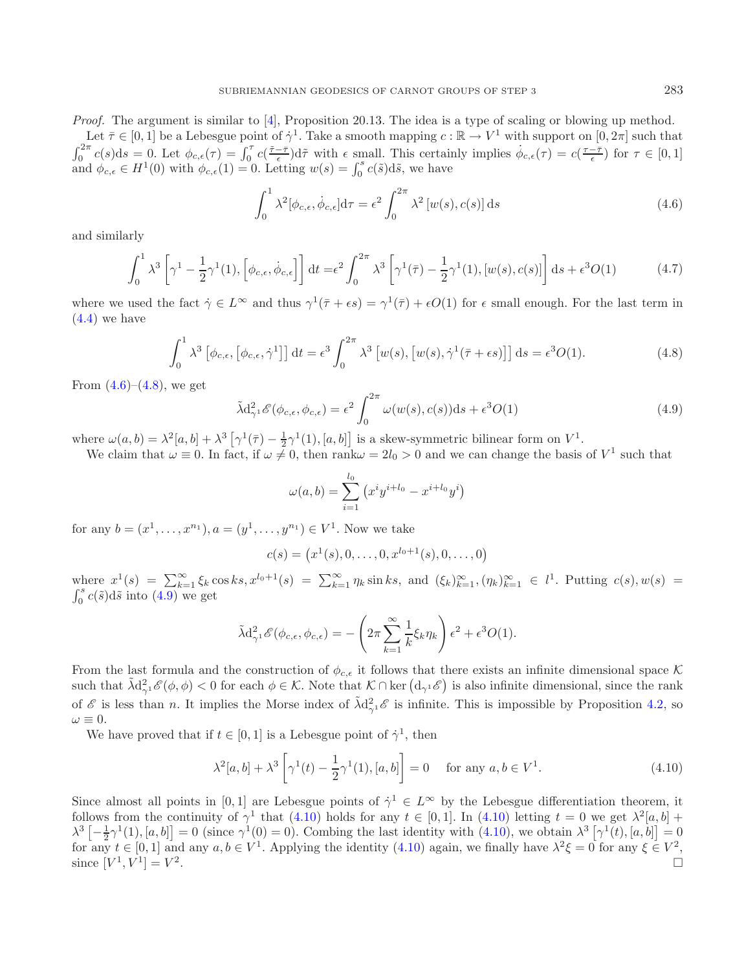<span id="page-9-1"></span>*Proof.* The argument is similar to [\[4\]](#page-12-0), Proposition 20.13. The idea is a type of scaling or blowing up method.

Let  $\bar{\tau} \in [0, 1]$  be a Lebesgue point of  $\dot{\gamma}^1$ . Take a smooth mapping  $c : \mathbb{R} \to V^1$  with support on  $[0, 2\pi]$  such that  $\int_0^{2\pi} c(s)ds = 0.$  Let  $\phi_{c,\epsilon}(\tau) = \int_0^{\tau} c(\frac{\tilde{\tau}-\bar{\tau}}{\epsilon})d\tilde{\tau}$  with  $\epsilon$  small. This certainly implies  $\dot{\phi}_{c,\epsilon}(\tau) = c(\frac{\tau-\bar{\tau}}{\epsilon})$  for  $\tau \in [0,1]$ and  $\phi_{c,\epsilon} \in H^1(0)$  with  $\phi_{c,\epsilon}(1) = 0$ . Letting  $w(s) = \int_0^s c(\tilde{s}) d\tilde{s}$ , we have

<span id="page-9-0"></span>
$$
\int_0^1 \lambda^2 [\phi_{c,\epsilon}, \dot{\phi}_{c,\epsilon}] d\tau = \epsilon^2 \int_0^{2\pi} \lambda^2 [w(s), c(s)] ds \qquad (4.6)
$$

<span id="page-9-2"></span>and similarly

$$
\int_0^1 \lambda^3 \left[ \gamma^1 - \frac{1}{2} \gamma^1(1), \left[ \phi_{c,\epsilon}, \dot{\phi}_{c,\epsilon} \right] \right] dt = \epsilon^2 \int_0^{2\pi} \lambda^3 \left[ \gamma^1(\bar{\tau}) - \frac{1}{2} \gamma^1(1), \left[ w(s), c(s) \right] \right] ds + \epsilon^3 O(1) \tag{4.7}
$$

where we used the fact  $\dot{\gamma} \in L^{\infty}$  and thus  $\gamma^1(\bar{\tau} + \epsilon s) = \gamma^1(\bar{\tau}) + \epsilon O(1)$  for  $\epsilon$  small enough. For the last term in  $(4.4)$  we have

$$
\int_0^1 \lambda^3 \left[ \phi_{c,\epsilon}, \left[ \phi_{c,\epsilon}, \dot{\gamma}^1 \right] \right] dt = \epsilon^3 \int_0^{2\pi} \lambda^3 \left[ w(s), \left[ w(s), \dot{\gamma}^1(\bar{\tau} + \epsilon s) \right] \right] ds = \epsilon^3 O(1). \tag{4.8}
$$

From  $(4.6)$ – $(4.8)$ , we get

$$
\tilde{\lambda} d_{\gamma^1}^2 \mathcal{E}(\phi_{c,\epsilon}, \phi_{c,\epsilon}) = \epsilon^2 \int_0^{2\pi} \omega(w(s), c(s)) ds + \epsilon^3 O(1)
$$
\n(4.9)

where  $\omega(a, b) = \lambda^2 [a, b] + \lambda^3 [\gamma^1(\bar{\tau}) - \frac{1}{2} \gamma^1(1), [a, b]]$  is a skew-symmetric bilinear form on  $V^1$ .<br>We claim that  $\omega = 0$  In fact, if  $\omega \neq 0$  then ranks  $-2l_0 > 0$  and we can change the basis

We claim that  $\omega = 0$ . In fact, if  $\omega \neq 0$ , then rank $\omega = 2l_0 > 0$  and we can change the basis of  $V^1$  such that

$$
\omega(a,b) = \sum_{i=1}^{l_0} (x^i y^{i+l_0} - x^{i+l_0} y^i)
$$

for any  $b = (x^1, \ldots, x^{n_1}), a = (y^1, \ldots, y^{n_1}) \in V^1$ . Now we take

<span id="page-9-3"></span>
$$
c(s) = (x1(s), 0, \dots, 0, xl0+1(s), 0, \dots, 0)
$$

where  $x^1(s) = \sum_{k=1}^{\infty} \xi_k \cos ks, x^{l_0+1}(s) = \sum_{k=1}^{\infty} \eta_k \sin ks$ , and  $(\xi_k)_{k=1}^{\infty}, (\eta_k)_{k=1}^{\infty} \in l^1$ . Putting  $c(s), w(s) =$  $\int_0^s c(\tilde{s}) d\tilde{s}$  into  $(4.9)$  we get

$$
\tilde{\lambda} d_{\gamma^1}^2 \mathscr{E}(\phi_{c,\epsilon}, \phi_{c,\epsilon}) = -\left(2\pi \sum_{k=1}^{\infty} \frac{1}{k} \xi_k \eta_k\right) \epsilon^2 + \epsilon^3 O(1).
$$

From the last formula and the construction of  $\phi_{c,\epsilon}$  it follows that there exists an infinite dimensional space K such that  $\tilde{\lambda} d_{\gamma^1}^2 \mathscr{E}(\phi, \phi) < 0$  for each  $\phi \in \mathcal{K}$ . Note that  $\mathcal{K} \cap \text{ker}(\mathcal{d}_{\gamma^1} \mathscr{E})$  is also infinite dimensional, since the rank of  $\mathscr E$  is less than *n*. It implies the Morse index of  $\tilde\lambda d_{\gamma^1}^2 \mathscr E$  is infinite. This is impossible by Proposition [4.2,](#page-8-5) so  $\omega = 0$  $\omega \equiv 0.$ 

We have proved that if  $t \in [0, 1]$  is a Lebesgue point of  $\dot{\gamma}^1$ , then

$$
\lambda^2[a,b] + \lambda^3 \left[ \gamma^1(t) - \frac{1}{2} \gamma^1(1), [a,b] \right] = 0 \quad \text{for any } a, b \in V^1.
$$
 (4.10)

Since almost all points in [0,1] are Lebesgue points of  $\dot{\gamma}^1 \in L^\infty$  by the Lebesgue differentiation theorem, it follows from the continuity of  $\gamma^1$  that [\(4.10\)](#page-9-3) holds for any  $t \in [0,1]$ . In (4.10) letting  $t = 0$  we get  $\lambda^2[a, b]$  +  $\lambda^3 \left[ -\frac{1}{2} \gamma^1(1), [a, b] \right] = 0$  (since  $\gamma^1(0) = 0$ ). Combing the last identity with [\(4.10\)](#page-9-3), we obtain  $\lambda^3 \left[ \gamma^1(t), [a, b] \right] = 0$ <br>for any  $t \in [0, 1]$  and any  $a, b \in V^1$ . Applying the identity (4.10) again, we finally for any  $t \in [0, 1]$  and any  $a, b \in V^1$ . Applying the identity [\(4.10\)](#page-9-3) again, we finally have  $\lambda^2 \xi = 0$  for any  $\xi \in V^2$ ,<br>since  $[V^1, V^1] = V^2$ . since  $[V^1, V^1] = V^2$ .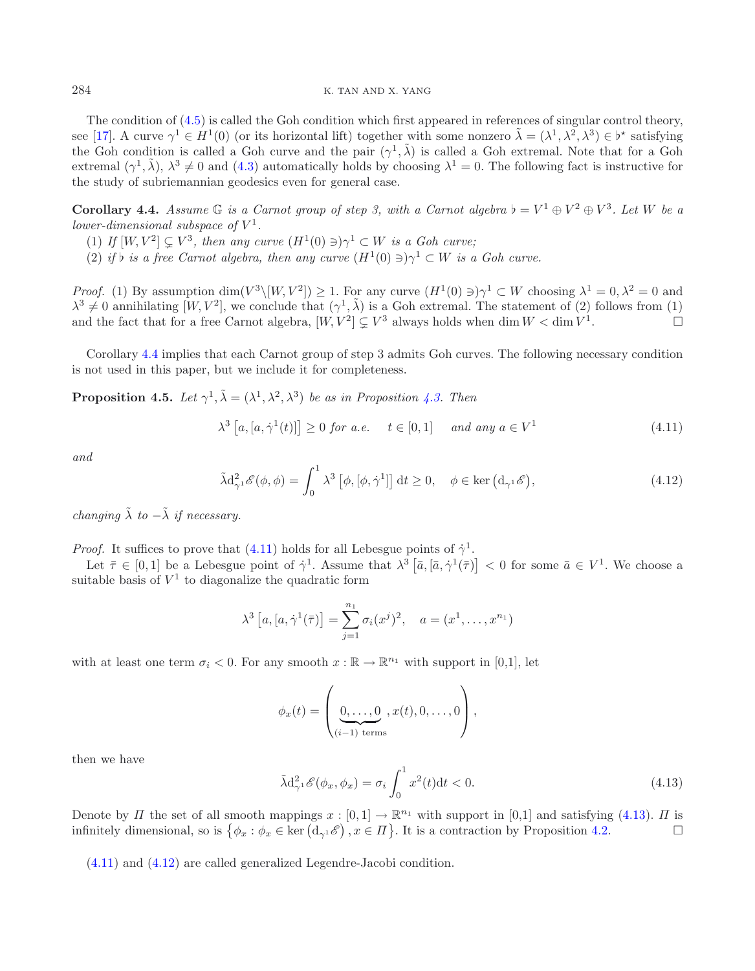<span id="page-10-1"></span>The condition of [\(4.5\)](#page-8-7) is called the Goh condition which first appeared in references of singular control theory, see [\[17\]](#page-13-21). A curve  $\gamma^1 \in H^1(0)$  (or its horizontal lift) together with some nonzero  $\tilde{\lambda} = (\lambda^1, \lambda^2, \lambda^3) \in \mathfrak{b}^*$  satisfying the Gob condition is called a Gob curve and the pair  $(\alpha^1, \tilde{\lambda})$  is called a Gob extrem the Goh condition is called a Goh curve and the pair  $(\gamma^1, \tilde{\lambda})$  is called a Goh extremal. Note that for a Goh extremal  $(\gamma^1, \tilde{\lambda}), \lambda^3 \neq 0$  and [\(4.3\)](#page-8-3) automatically holds by choosing  $\lambda^1 = 0$ . The following fact is instructive for the study of subriemannian geodesics even for general case.

**Corollary 4.4.** *Assume*  $\mathbb{G}$  *is a Carnot group of step 3, with a Carnot algebra*  $\flat = V^1 \oplus V^2 \oplus V^3$ *. Let* W *be a lower-dimensional subspace of*  $V^1$ *lower-dimensional subspace of*  $V^1$ .

- <span id="page-10-0"></span>(1) *If*  $[W, V^2] \subsetneq V^3$ , then any curve  $(H^1(0) \ni) \gamma^1 \subset W$  is a Goh curve;<br>(2) if h is a free Carnot elgebra, then any curve  $(H^1(0) \ni) \gamma^1 \subset W$  is a
- (2) *if*  $\flat$  *is a free Carnot algebra, then any curve*  $(H^1(0) \ni) \gamma^1 \subset W$  *is a Goh curve.*

<span id="page-10-4"></span>*Proof.* (1) By assumption dim(V<sup>3</sup>\[W, V<sup>2</sup>]) > 1. For any curve  $(H^1(0) \ni) \gamma^1 \subset W$  choosing  $\lambda^1 = 0, \lambda^2 = 0$  and  $\lambda^3 \neq 0$  annihilating  $[W, V^2]$ , we conclude that  $(\gamma^1, \tilde{\lambda})$  is a Goh extremal. The statement of (2) follows from (1) and the fact that for a free Carnot algebra.  $[W V^2] \subset V^3$  always holds when dim  $W < \dim V^1$ and the fact that for a free Carnot algebra,  $[W, V^2] \subsetneq V^3$  always holds when dim  $W < \dim V^1$ .

Corollary [4.4](#page-10-1) implies that each Carnot group of step 3 admits Goh curves. The following necessary condition is not used in this paper, but we include it for completeness.

**Proposition 4.5.** *Let*  $\gamma^1$ ,  $\tilde{\lambda} = (\lambda^1, \lambda^2, \lambda^3)$  *be as in Proposition [4.3.](#page-8-0) Then* 

<span id="page-10-2"></span>
$$
\lambda^3 \left[ a, [a, \dot{\gamma}^1(t)] \right] \ge 0 \text{ for a.e. } t \in [0, 1] \quad \text{and any } a \in V^1 \tag{4.11}
$$

*and*

$$
\tilde{\lambda} d_{\gamma^1}^2 \mathscr{E}(\phi, \phi) = \int_0^1 \lambda^3 \left[ \phi, [\phi, \dot{\gamma}^1] \right] dt \ge 0, \quad \phi \in \ker \left( d_{\gamma^1} \mathscr{E} \right), \tag{4.12}
$$

*changing*  $\tilde{\lambda}$  *to*  $-\tilde{\lambda}$  *if necessary.* 

*Proof.* It suffices to prove that [\(4.11\)](#page-10-2) holds for all Lebesgue points of  $\dot{\gamma}^1$ .

<span id="page-10-3"></span>Let  $\bar{\tau} \in [0,1]$  be a Lebesgue point of  $\dot{\gamma}$ <sup>1</sup>. Assume that  $\lambda^3 \left[ \bar{a}, \left[ \bar{a}, \dot{\gamma}^1(\bar{\tau}) \right] \right] < 0$  for some  $\bar{a} \in V^1$ . We choose a table basis of  $V^1$  to diagonalize the quadratic form suitable basis of  $V^1$  to diagonalize the quadratic form

$$
\lambda^3 [a, [a, \dot{\gamma}^1(\bar{\tau})] = \sum_{j=1}^{n_1} \sigma_i(x^j)^2, \quad a = (x^1, \dots, x^{n_1})
$$

with at least one term  $\sigma_i < 0$ . For any smooth  $x : \mathbb{R} \to \mathbb{R}^{n_1}$  with support in [0,1], let

$$
\phi_x(t) = \left(\underbrace{0,\ldots,0}_{(i-1) \text{ terms}}, x(t),0,\ldots,0\right),
$$

then we have

$$
\tilde{\lambda}d_{\gamma^1}^2 \mathscr{E}(\phi_x, \phi_x) = \sigma_i \int_0^1 x^2(t)dt < 0. \tag{4.13}
$$

Denote by  $\Pi$  the set of all smooth mappings  $x : [0,1] \to \mathbb{R}^{n_1}$  with support in [0,1] and satisfying [\(4.13\)](#page-10-3).  $\Pi$  is infinitely dimensional, so is  $\{\phi_x : \phi_x \in \text{ker}(\mathbf{d}_{\phi^1}\mathcal{E}) \mid x \in \Pi\}$ . It is a contraction by Pr infinitely dimensional, so is  $\{\phi_x : \phi_x \in \text{ker}(\mathbf{d}_{\gamma^1} \mathscr{E}), x \in \Pi\}$ . It is a contraction by Proposition [4.2.](#page-8-5)

[\(4.11\)](#page-10-2) and [\(4.12\)](#page-10-4) are called generalized Legendre-Jacobi condition.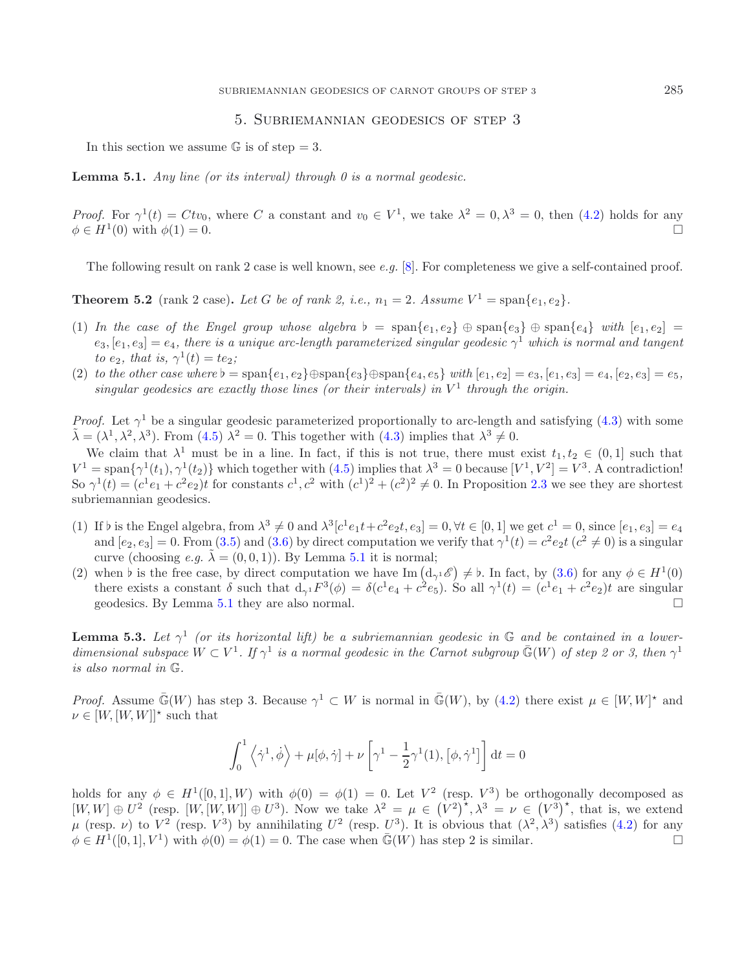# <span id="page-11-1"></span>5. Subriemannian geodesics of step 3

In this section we assume  $\mathbb G$  is of step = 3.

**Lemma 5.1.** *Any line (or its interval) through 0 is a normal geodesic.*

*Proof.* For  $\gamma^1(t) = Ctv_0$ , where C a constant and  $v_0 \in V^1$ , we take  $\lambda^2 = 0, \lambda^3 = 0$ , then [\(4.2\)](#page-8-1) holds for any  $\phi \in H^1(0)$  with  $\phi(1) = 0$  $\phi \in H^1(0)$  with  $\phi(1) = 0$ .

The following result on rank 2 case is well known, see *e.g.* [\[8\]](#page-13-22). For completeness we give a self-contained proof.

<span id="page-11-0"></span>**Theorem 5.2** (rank 2 case). Let G be of rank 2, i.e.,  $n_1 = 2$ . Assume  $V^1 = \text{span}\{e_1, e_2\}$ .

- (1) In the case of the Engel group whose algebra  $b = \text{span}\{e_1, e_2\} \oplus \text{span}\{e_3\} \oplus \text{span}\{e_4\}$  with  $[e_1, e_2] =$ <br>  $[e_2, e_3] = e_4$ , there is a unique arc-length parameterized singular geodesic  $\gamma^1$  which is normal and ta  $e_3$ ,  $[e_1, e_3] = e_4$ , there is a unique arc-length parameterized singular geodesic  $\gamma^1$  which is normal and tangent *to*  $e_2$ *, that is,*  $\gamma^1(t) = te_2$ *;*
- (2) *to the other case where*  $b = \text{span}\{e_1, e_2\} \oplus \text{span}\{e_3\} \oplus \text{span}\{e_4, e_5\}$  *with*  $|e_1, e_2| = e_3$ ,  $|e_1, e_3| = e_4$ ,  $|e_2, e_3| = e_5$ , singular geodesics are exactly those lines (or their intervals) in  $V^1$  through *singular geodesics are exactly those lines (or their intervals) in*  $V^1$  *through the origin.*

*Proof.* Let  $\gamma^1$  be a singular geodesic parameterized proportionally to arc-length and satisfying [\(4.3\)](#page-8-3) with some  $\tilde{\lambda} = (\lambda^1, \lambda^2, \lambda^3)$ . From [\(4.5\)](#page-8-7)  $\lambda^2 = 0$ . This together with [\(4.3\)](#page-8-3) implies that  $\lambda^3 \neq 0$ .

We claim that  $\lambda^1$  must be in a line. In fact, if this is not true, there must exist  $t_1, t_2 \in (0, 1]$  such that  $V^1 = \text{span}\{\gamma^1(t_1), \gamma^1(t_2)\}\$  which together with  $(4.5)$  implies that  $\lambda^3 = 0$  because  $[V^1, V^2] = V^3$ . A contradiction! So  $\gamma^1(t)=(c^1e_1+c^2e_2)t$  for constants  $c^1$ ,  $c^2$  with  $(c^1)^2+(c^2)^2\neq 0$ . In Proposition [2.3](#page-4-1) we see they are shortest subriemannian geodesics.

- (1) If b is the Engel algebra, from  $\lambda^3 \neq 0$  and  $\lambda^3[c^1e_1t+c^2e_2t,e_3]=0, \forall t \in [0,1]$  we get  $c^1=0$ , since  $[e_1,e_3]=e_4$ <br>and  $[e_2,e_3]=0$  From (3.5) and (3.6) by direct computation we verify that  $\lambda^1(t)=c^2e_2t(c^2\neq 0)$ and  $[e_2, e_3] = 0$ . From [\(3.5\)](#page-7-0) and [\(3.6\)](#page-7-2) by direct computation we verify that  $\gamma^1(t) = c^2 e_2 t$  ( $c^2 \neq 0$ ) is a singular curve (choosing *e.g.*  $\lambda = (0, 0, 1)$ ). By Lemma [5.1](#page-11-1) it is normal;
- (2) when b is the free case, by direct computation we have  $\text{Im}(\text{d}_{\gamma1}e) \neq b$ . In fact, by [\(3.6\)](#page-7-2) for any  $\phi \in H^1(0)$  there exists a constant  $\delta$  such that  $\text{d}_{\gamma1}E^3(\phi) = \delta(c_1^1e_1 + c_2^2e_1)$ . So all  $\alpha^1(t) = (c_1^$ there exists a constant  $\delta$  such that  $d_{\gamma^1} F^3(\phi) = \delta(c^1e_4 + c^2e_5)$ . So all  $\gamma^1(t) = (c^1e_1 + c^2e_2)t$  are singular geodesics. By Lemma 5.1 they are also normal. geodesics. By Lemma [5.1](#page-11-1) they are also normal. -

<span id="page-11-2"></span>**Lemma 5.3.** Let  $\gamma^1$  (or its horizontal lift) be a subriemannian geodesic in  $\mathbb{G}$  and be contained in a lower*dimensional subspace*  $W \subset V^1$ . If  $\gamma^1$  *is a normal geodesic in the Carnot subgroup*  $\bar{\mathbb{G}}(W)$  *of step 2 or 3, then*  $\gamma^1$ *is also normal in* G*.*

*Proof.* Assume  $\bar{\mathbb{G}}(W)$  has step 3. Because  $\gamma^1 \subset W$  is normal in  $\bar{\mathbb{G}}(W)$ , by [\(4.2\)](#page-8-1) there exist  $\mu \in [W, W]^*$  and  $\mu \in [W, W]^*$  such that  $\nu \in [W, [W, W]]^*$  such that

$$
\int_0^1 \left\langle \dot{\gamma}^1 , \dot{\phi} \right\rangle + \mu [\phi , \dot{\gamma}] + \nu \left[ \gamma^1 - \frac{1}{2} \gamma^1 (1) , \left[ \phi , \dot{\gamma}^1 \right] \right] \mathrm{d} t = 0
$$

holds for any  $\phi \in H^1([0,1], W)$  with  $\phi(0) = \phi(1) = 0$ . Let  $V^2$  (resp.  $V^3$ ) be orthogonally decomposed as  $[W, W] \oplus U^2$  (resp.  $[W, [W, W]] \oplus U^3$ ). Now we take  $\lambda^2 = \mu \in (V^2)^{\star}, \lambda^3 = \nu \in (V^3)^{\star}$ , that is, we extend<br> $\mu$  (resp.  $\nu$ ) to  $V^2$  (resp.  $V^3$ ) by applieding  $U^2$  (resp.  $U^3$ ). It is obvious that  $(\lambda^2, \lambda^3)$  satisf μ (resp. ν) to  $V^2$  (resp.  $V^3$ ) by annihilating  $U^2$  (resp.  $U^3$ ). It is obvious that  $(λ^2, λ^3)$  satisfies [\(4.2\)](#page-8-1) for any  $\phi \in H^1([0, 1], V^1)$  with  $\phi(0) = \phi(1) = 0$ . The case when  $\bar{G}(W)$  has step 2 is similar.  $\phi \in H^1([0,1], V^1)$  with  $\phi(0) = \phi(1) = 0$ . The case when  $\bar{\mathbb{G}}(W)$  has step 2 is similar.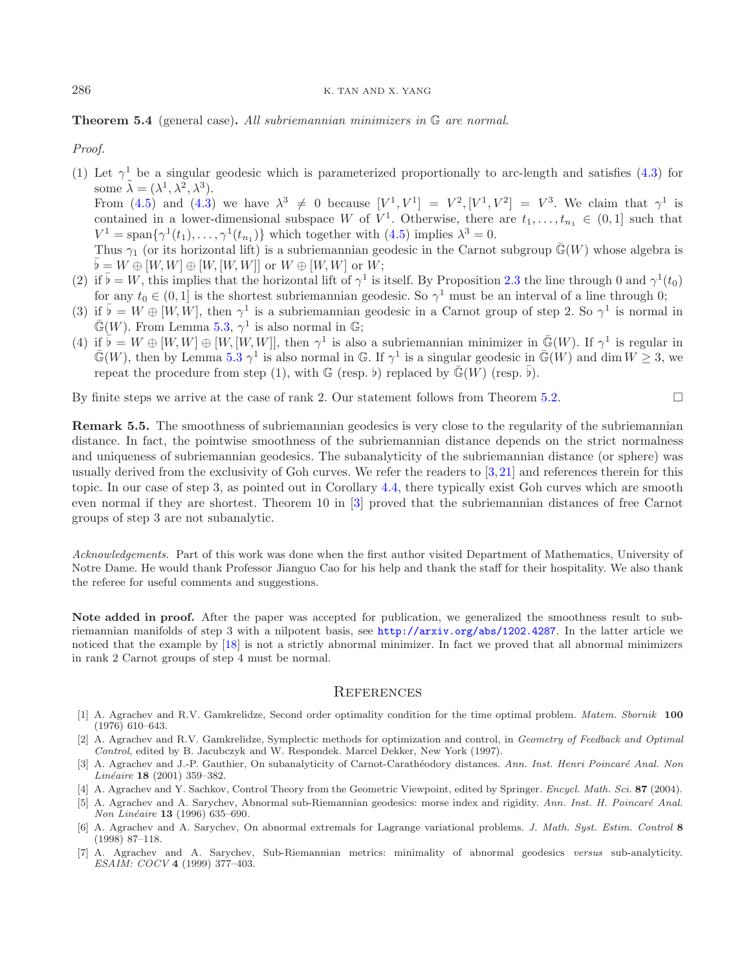<span id="page-12-5"></span>**Theorem 5.4** (general case)**.** *All subriemannian minimizers in* G *are normal.*

*Proof.*

- (1) Let  $\gamma^1$  be a singular geodesic which is parameterized proportionally to arc-length and satisfies [\(4.3\)](#page-8-3) for some  $\tilde{\lambda} = (\lambda^1, \lambda^2, \lambda^3)$ . From [\(4.5\)](#page-8-7) and [\(4.3\)](#page-8-3) we have  $\lambda^3 \neq 0$  because  $[V^1, V^1] = V^2, [V^1, V^2] = V^3$ . We claim that  $\gamma^1$  is contained in a lower-dimensional subspace W of  $V^1$ . Otherwise, there are  $t_1,\ldots,t_{n_1} \in (0,1]$  such that  $V^1 = \text{span}\{\gamma^1(t_1),\ldots,\gamma^1(t_{n_1})\}$  which together with  $(4.5)$  implies  $\lambda^3 = 0$ . Thus  $\gamma_1$  (or its horizontal lift) is a subriemannian geodesic in the Carnot subgroup  $\mathbb{G}(W)$  whose algebra is  $\overline{\flat} = W \oplus [W, W] \oplus [W, [W, W]]$  or  $W \oplus [W, W]$  or  $W$ ;
- (2) if  $\bar{b} = W$ , this implies that the horizontal lift of  $\gamma^1$  is itself. By Proposition [2.3](#page-4-1) the line through 0 and  $\gamma^1(t_0)$  for any  $t_0 \in (0, 1]$  is the shortest subriggnantian geodesic. So  $\gamma^1$  must be an interva for any  $t_0 \in (0, 1]$  is the shortest subriemannian geodesic. So  $\gamma^1$  must be an interval of a line through 0;
- (3) if  $\bar{b} = W \oplus [W, W]$ , then  $\gamma^1$  is a subriemannian geodesic in a Carnot group of step 2. So  $\gamma^1$  is normal in  $\bar{G}(W)$ . From Lemma 5.3  $\gamma^1$  is also normal in  $\bar{G}$ .  $\bar{\mathbb{G}}(W)$ . From Lemma [5.3,](#page-11-2)  $\gamma^1$  is also normal in G;
- (4) if  $\bar{b} = W \oplus [W, W] \oplus [W, [W, W]]$ , then  $\gamma^1$  is also a subriemannian minimizer in  $\bar{\mathbb{G}}(W)$ . If  $\gamma^1$  is regular in  $\bar{\mathbb{G}}(W)$  then by Lemma 5.3  $\gamma^1$  is also normal in  $\mathbb{G}$ . If  $\gamma^1$  is a singular geode  $\mathbb{G}(W)$ , then by Lemma [5.3](#page-11-2)  $\gamma^1$  is also normal in G. If  $\gamma^1$  is a singular geodesic in  $\mathbb{G}(W)$  and dim  $W \geq 3$ , we repeat the procedure from step (1), with  $\mathbb G$  (resp. b) replaced by  $\bar{\mathbb G}(W)$  (resp.  $\bar{\flat}$ ).

By finite steps we arrive at the case of rank 2. Our statement follows from Theorem [5.2.](#page-11-0)  $\Box$ 

**Remark 5.5.** The smoothness of subriemannian geodesics is very close to the regularity of the subriemannian distance. In fact, the pointwise smoothness of the subriemannian distance depends on the strict normalness and uniqueness of subriemannian geodesics. The subanalyticity of the subriemannian distance (or sphere) was usually derived from the exclusivity of Goh curves. We refer the readers to [\[3,](#page-12-1)[21\]](#page-13-23) and references therein for this topic. In our case of step 3, as pointed out in Corollary [4.4,](#page-10-1) there typically exist Goh curves which are smooth even normal if they are shortest. Theorem 10 in [\[3](#page-12-1)] proved that the subriemannian distances of free Carnot groups of step 3 are not subanalytic.

*Acknowledgements.* Part of this work was done when the first author visited Department of Mathematics, University of Notre Dame. He would thank Professor Jianguo Cao for his help and thank the staff for their hospitality. We also thank the referee for useful comments and suggestions.

**Note added in proof.** After the paper was accepted for publication, we generalized the smoothness result to subriemannian manifolds of step 3 with a nilpotent basis, see <http://arxiv.org/abs/1202.4287>. In the latter article we noticed that the example by [\[18](#page-13-24)] is not a strictly abnormal minimizer. In fact we proved that all abnormal minimizers in rank 2 Carnot groups of step 4 must be normal.

#### **REFERENCES**

- [1] A. Agrachev and R.V. Gamkrelidze, Second order optimality condition for the time optimal problem. Matem. Sbornik **100** (1976) 610–643.
- <span id="page-12-6"></span>[2] A. Agrachev and R.V. Gamkrelidze, Symplectic methods for optimization and control, in Geometry of Feedback and Optimal Control, edited by B. Jacubczyk and W. Respondek. Marcel Dekker, New York (1997).
- <span id="page-12-1"></span>[3] A. Agrachev and J.-P. Gauthier, On subanalyticity of Carnot-Carathéodory distances. Ann. Inst. Henri Poincaré Anal. Non Linéaire **18** (2001) 359-382.
- <span id="page-12-0"></span>[4] A. Agrachev and Y. Sachkov, Control Theory from the Geometric Viewpoint, edited by Springer. Encycl. Math. Sci. **87** (2004).
- <span id="page-12-3"></span>[5] A. Agrachev and A. Sarychev, Abnormal sub-Riemannian geodesics: morse index and rigidity. Ann. Inst. H. Poincaré Anal. Non Lin´eaire **13** (1996) 635–690.
- <span id="page-12-4"></span>[6] A. Agrachev and A. Sarychev, On abnormal extremals for Lagrange variational problems. J. Math. Syst. Estim. Control **8** (1998) 87–118.
- <span id="page-12-2"></span>[7] A. Agrachev and A. Sarychev, Sub-Riemannian metrics: minimality of abnormal geodesics versus sub-analyticity. ESAIM: COCV **4** (1999) 377–403.